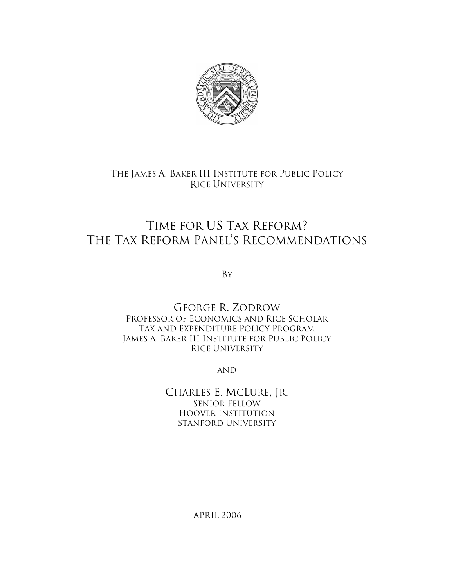

# THE JAMES A. BAKER III INSTITUTE FOR PUBLIC POLICY RICE UNIVERSITY

# TIME FOR US TAX REFORM? THE TAX REFORM PANEL'S RECOMMENDATIONS

BY

GEORGE R. ZODROW PROFESSOR OF ECONOMICS AND RICE SCHOLAR TAX AND EXPENDITURE POLICY PROGRAM JAMES A. BAKER III INSTITUTE FOR PUBLIC POLICY RICE UNIVERSITY

AND

CHARLES E. MCLURE, JR. SENIOR FELLOW HOOVER INSTITUTION STANFORD UNIVERSITY

APRIL 2006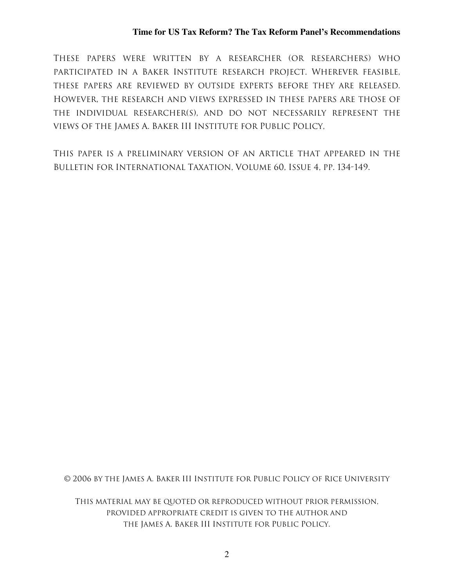THESE PAPERS WERE WRITTEN BY A RESEARCHER (OR RESEARCHERS) WHO PARTICIPATED IN A BAKER INSTITUTE RESEARCH PROJECT. WHEREVER FEASIBLE, THESE PAPERS ARE REVIEWED BY OUTSIDE EXPERTS BEFORE THEY ARE RELEASED. HOWEVER, THE RESEARCH AND VIEWS EXPRESSED IN THESE PAPERS ARE THOSE OF THE INDIVIDUAL RESEARCHER(S), AND DO NOT NECESSARILY REPRESENT THE VIEWS OF THE JAMES A. BAKER III INSTITUTE FOR PUBLIC POLICY,

THIS PAPER IS A PRELIMINARY VERSION OF AN ARTICLE THAT APPEARED IN THE BULLETIN FOR INTERNATIONAL TAXATION, VOLUME 60, ISSUE 4, PP. 134-149.

© 2006 BY THE JAMES A. BAKER III INSTITUTE FOR PUBLIC POLICY OF RICE UNIVERSITY

THIS MATERIAL MAY BE QUOTED OR REPRODUCED WITHOUT PRIOR PERMISSION, PROVIDED APPROPRIATE CREDIT IS GIVEN TO THE AUTHOR AND THE JAMES A. BAKER III INSTITUTE FOR PUBLIC POLICY.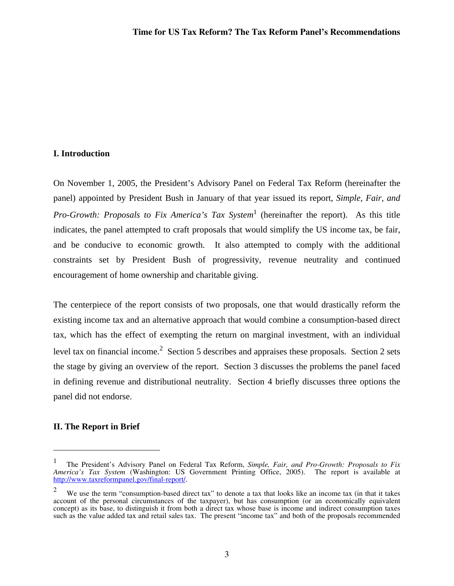# **I. Introduction**

On November 1, 2005, the President's Advisory Panel on Federal Tax Reform (hereinafter the panel) appointed by President Bush in January of that year issued its report, *Simple, Fair, and Pro-Growth: Proposals to Fix America's Tax System*<sup>1</sup> (hereinafter the report). As this title indicates, the panel attempted to craft proposals that would simplify the US income tax, be fair, and be conducive to economic growth. It also attempted to comply with the additional constraints set by President Bush of progressivity, revenue neutrality and continued encouragement of home ownership and charitable giving.

The centerpiece of the report consists of two proposals, one that would drastically reform the existing income tax and an alternative approach that would combine a consumption-based direct tax, which has the effect of exempting the return on marginal investment, with an individual level tax on financial income.<sup>2</sup> Section 5 describes and appraises these proposals. Section 2 sets the stage by giving an overview of the report. Section 3 discusses the problems the panel faced in defining revenue and distributional neutrality. Section 4 briefly discusses three options the panel did not endorse.

# **II. The Report in Brief**

 $\overline{a}$ 

<sup>1</sup> The President's Advisory Panel on Federal Tax Reform, *Simple, Fair, and Pro-Growth: Proposals to Fix America's Tax System* (Washington: US Government Printing Office, 2005). The report is available at http://www.taxreformpanel.gov/final-report/.

<sup>2</sup> We use the term "consumption-based direct tax" to denote a tax that looks like an income tax (in that it takes account of the personal circumstances of the taxpayer), but has consumption (or an economically equivalent concept) as its base, to distinguish it from both a direct tax whose base is income and indirect consumption taxes such as the value added tax and retail sales tax. The present "income tax" and both of the proposals recommended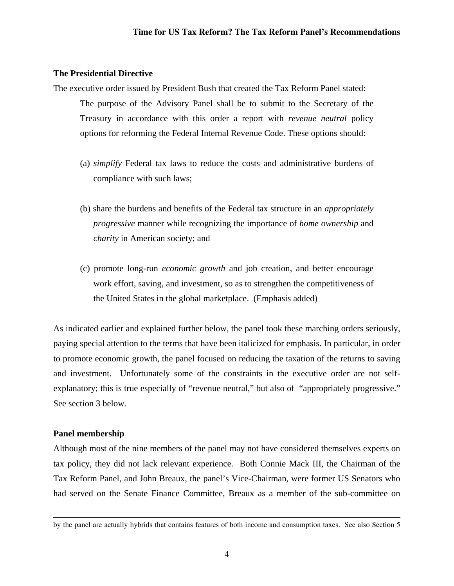# **The Presidential Directive**

The executive order issued by President Bush that created the Tax Reform Panel stated: The purpose of the Advisory Panel shall be to submit to the Secretary of the Treasury in accordance with this order a report with *revenue neutral* policy options for reforming the Federal Internal Revenue Code. These options should:

- (a) *simplify* Federal tax laws to reduce the costs and administrative burdens of compliance with such laws;
- (b) share the burdens and benefits of the Federal tax structure in an *appropriately progressive* manner while recognizing the importance of *home ownership* and *charity* in American society; and
- (c) promote long-run *economic growth* and job creation, and better encourage work effort, saving, and investment, so as to strengthen the competitiveness of the United States in the global marketplace. (Emphasis added)

As indicated earlier and explained further below, the panel took these marching orders seriously, paying special attention to the terms that have been italicized for emphasis. In particular, in order to promote economic growth, the panel focused on reducing the taxation of the returns to saving and investment. Unfortunately some of the constraints in the executive order are not selfexplanatory; this is true especially of "revenue neutral," but also of "appropriately progressive." See section 3 below.

# **Panel membership**

Although most of the nine members of the panel may not have considered themselves experts on tax policy, they did not lack relevant experience. Both Connie Mack III, the Chairman of the Tax Reform Panel, and John Breaux, the panel's Vice-Chairman, were former US Senators who had served on the Senate Finance Committee, Breaux as a member of the sub-committee on

by the panel are actually hybrids that contains features of both income and consumption taxes. See also Section 5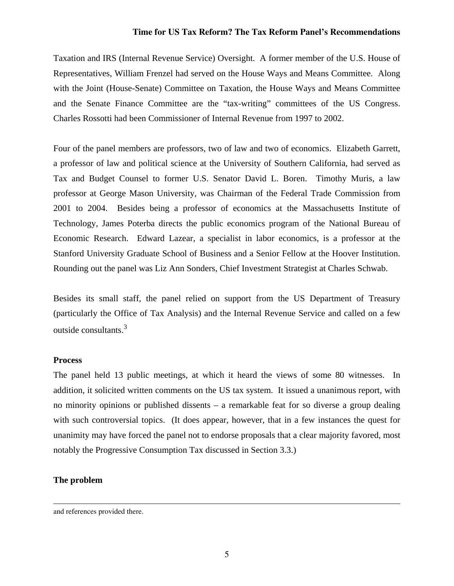Taxation and IRS (Internal Revenue Service) Oversight. A former member of the U.S. House of Representatives, William Frenzel had served on the House Ways and Means Committee. Along with the Joint (House-Senate) Committee on Taxation, the House Ways and Means Committee and the Senate Finance Committee are the "tax-writing" committees of the US Congress. Charles Rossotti had been Commissioner of Internal Revenue from 1997 to 2002.

Four of the panel members are professors, two of law and two of economics. Elizabeth Garrett, a professor of law and political science at the University of Southern California, had served as Tax and Budget Counsel to former U.S. Senator David L. Boren. Timothy Muris, a law professor at George Mason University, was Chairman of the Federal Trade Commission from 2001 to 2004. Besides being a professor of economics at the Massachusetts Institute of Technology, James Poterba directs the public economics program of the National Bureau of Economic Research. Edward Lazear, a specialist in labor economics, is a professor at the Stanford University Graduate School of Business and a Senior Fellow at the Hoover Institution. Rounding out the panel was Liz Ann Sonders, Chief Investment Strategist at Charles Schwab.

Besides its small staff, the panel relied on support from the US Department of Treasury (particularly the Office of Tax Analysis) and the Internal Revenue Service and called on a few outside consultants.3

# **Process**

The panel held 13 public meetings, at which it heard the views of some 80 witnesses. In addition, it solicited written comments on the US tax system. It issued a unanimous report, with no minority opinions or published dissents – a remarkable feat for so diverse a group dealing with such controversial topics. (It does appear, however, that in a few instances the quest for unanimity may have forced the panel not to endorse proposals that a clear majority favored, most notably the Progressive Consumption Tax discussed in Section 3.3.)

# **The problem**

and references provided there.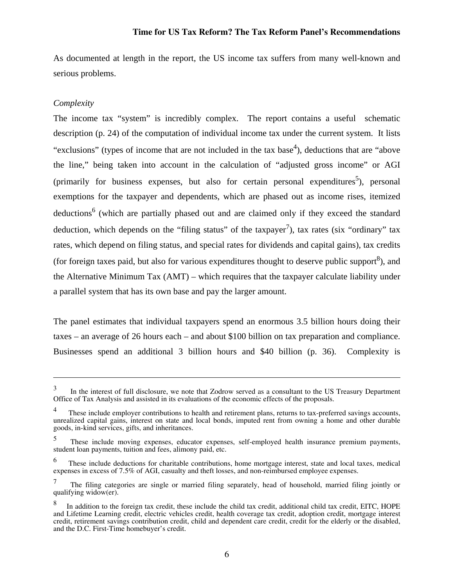As documented at length in the report, the US income tax suffers from many well-known and serious problems.

# *Complexity*

 $\overline{a}$ 

The income tax "system" is incredibly complex. The report contains a useful schematic description (p. 24) of the computation of individual income tax under the current system. It lists "exclusions" (types of income that are not included in the tax base<sup>4</sup>), deductions that are "above" the line," being taken into account in the calculation of "adjusted gross income" or AGI (primarily for business expenses, but also for certain personal expenditures<sup>5</sup>), personal exemptions for the taxpayer and dependents, which are phased out as income rises, itemized deductions<sup>6</sup> (which are partially phased out and are claimed only if they exceed the standard deduction, which depends on the "filing status" of the taxpayer<sup>7</sup>), tax rates (six "ordinary" tax rates, which depend on filing status, and special rates for dividends and capital gains), tax credits (for foreign taxes paid, but also for various expenditures thought to deserve public support $\delta$ ), and the Alternative Minimum Tax (AMT) – which requires that the taxpayer calculate liability under a parallel system that has its own base and pay the larger amount.

The panel estimates that individual taxpayers spend an enormous 3.5 billion hours doing their taxes – an average of 26 hours each – and about \$100 billion on tax preparation and compliance. Businesses spend an additional 3 billion hours and \$40 billion (p. 36). Complexity is

<sup>3</sup> In the interest of full disclosure, we note that Zodrow served as a consultant to the US Treasury Department Office of Tax Analysis and assisted in its evaluations of the economic effects of the proposals.

<sup>4</sup> These include employer contributions to health and retirement plans, returns to tax-preferred savings accounts, unrealized capital gains, interest on state and local bonds, imputed rent from owning a home and other durable goods, in-kind services, gifts, and inheritances.

<sup>5</sup> These include moving expenses, educator expenses, self-employed health insurance premium payments, student loan payments, tuition and fees, alimony paid, etc.

<sup>6</sup> These include deductions for charitable contributions, home mortgage interest, state and local taxes, medical expenses in excess of 7.5% of AGI, casualty and theft losses, and non-reimbursed employee expenses.

<sup>7</sup> The filing categories are single or married filing separately, head of household, married filing jointly or qualifying widow(er).

<sup>8</sup> In addition to the foreign tax credit, these include the child tax credit, additional child tax credit, EITC, HOPE and Lifetime Learning credit, electric vehicles credit, health coverage tax credit, adoption credit, mortgage interest credit, retirement savings contribution credit, child and dependent care credit, credit for the elderly or the disabled, and the D.C. First-Time homebuyer's credit.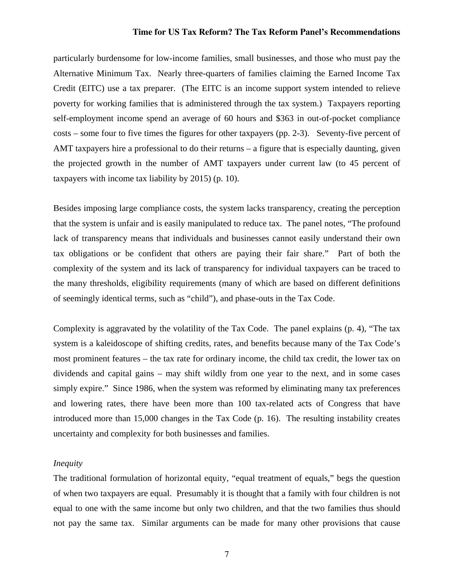particularly burdensome for low-income families, small businesses, and those who must pay the Alternative Minimum Tax. Nearly three-quarters of families claiming the Earned Income Tax Credit (EITC) use a tax preparer. (The EITC is an income support system intended to relieve poverty for working families that is administered through the tax system.) Taxpayers reporting self-employment income spend an average of 60 hours and \$363 in out-of-pocket compliance costs – some four to five times the figures for other taxpayers (pp. 2-3). Seventy-five percent of AMT taxpayers hire a professional to do their returns – a figure that is especially daunting, given the projected growth in the number of AMT taxpayers under current law (to 45 percent of taxpayers with income tax liability by 2015) (p. 10).

Besides imposing large compliance costs, the system lacks transparency, creating the perception that the system is unfair and is easily manipulated to reduce tax. The panel notes, "The profound lack of transparency means that individuals and businesses cannot easily understand their own tax obligations or be confident that others are paying their fair share." Part of both the complexity of the system and its lack of transparency for individual taxpayers can be traced to the many thresholds, eligibility requirements (many of which are based on different definitions of seemingly identical terms, such as "child"), and phase-outs in the Tax Code.

Complexity is aggravated by the volatility of the Tax Code. The panel explains (p. 4), "The tax system is a kaleidoscope of shifting credits, rates, and benefits because many of the Tax Code's most prominent features – the tax rate for ordinary income, the child tax credit, the lower tax on dividends and capital gains – may shift wildly from one year to the next, and in some cases simply expire." Since 1986, when the system was reformed by eliminating many tax preferences and lowering rates, there have been more than 100 tax-related acts of Congress that have introduced more than 15,000 changes in the Tax Code (p. 16). The resulting instability creates uncertainty and complexity for both businesses and families.

# *Inequity*

The traditional formulation of horizontal equity, "equal treatment of equals," begs the question of when two taxpayers are equal. Presumably it is thought that a family with four children is not equal to one with the same income but only two children, and that the two families thus should not pay the same tax. Similar arguments can be made for many other provisions that cause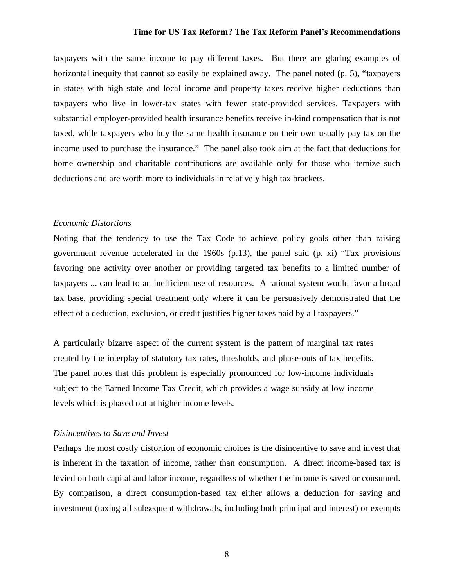taxpayers with the same income to pay different taxes. But there are glaring examples of horizontal inequity that cannot so easily be explained away. The panel noted (p. 5), "taxpayers in states with high state and local income and property taxes receive higher deductions than taxpayers who live in lower-tax states with fewer state-provided services. Taxpayers with substantial employer-provided health insurance benefits receive in-kind compensation that is not taxed, while taxpayers who buy the same health insurance on their own usually pay tax on the income used to purchase the insurance." The panel also took aim at the fact that deductions for home ownership and charitable contributions are available only for those who itemize such deductions and are worth more to individuals in relatively high tax brackets.

# *Economic Distortions*

Noting that the tendency to use the Tax Code to achieve policy goals other than raising government revenue accelerated in the 1960s (p.13), the panel said (p. xi) "Tax provisions favoring one activity over another or providing targeted tax benefits to a limited number of taxpayers ... can lead to an inefficient use of resources. A rational system would favor a broad tax base, providing special treatment only where it can be persuasively demonstrated that the effect of a deduction, exclusion, or credit justifies higher taxes paid by all taxpayers."

A particularly bizarre aspect of the current system is the pattern of marginal tax rates created by the interplay of statutory tax rates, thresholds, and phase-outs of tax benefits. The panel notes that this problem is especially pronounced for low-income individuals subject to the Earned Income Tax Credit, which provides a wage subsidy at low income levels which is phased out at higher income levels.

#### *Disincentives to Save and Invest*

Perhaps the most costly distortion of economic choices is the disincentive to save and invest that is inherent in the taxation of income, rather than consumption. A direct income-based tax is levied on both capital and labor income, regardless of whether the income is saved or consumed. By comparison, a direct consumption-based tax either allows a deduction for saving and investment (taxing all subsequent withdrawals, including both principal and interest) or exempts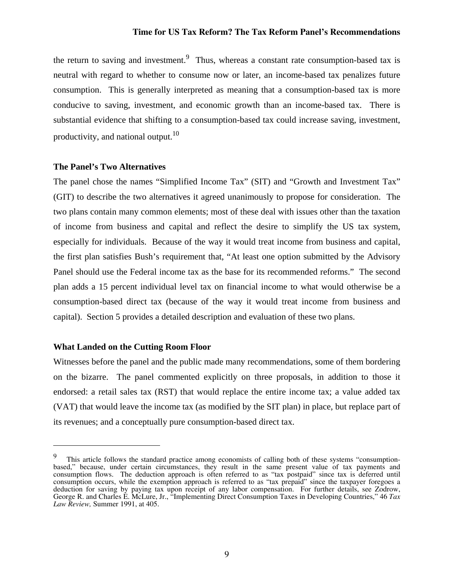the return to saving and investment.<sup>9</sup> Thus, whereas a constant rate consumption-based tax is neutral with regard to whether to consume now or later, an income-based tax penalizes future consumption. This is generally interpreted as meaning that a consumption-based tax is more conducive to saving, investment, and economic growth than an income-based tax. There is substantial evidence that shifting to a consumption-based tax could increase saving, investment, productivity, and national output.<sup>10</sup>

# **The Panel's Two Alternatives**

The panel chose the names "Simplified Income Tax" (SIT) and "Growth and Investment Tax" (GIT) to describe the two alternatives it agreed unanimously to propose for consideration. The two plans contain many common elements; most of these deal with issues other than the taxation of income from business and capital and reflect the desire to simplify the US tax system, especially for individuals. Because of the way it would treat income from business and capital, the first plan satisfies Bush's requirement that, "At least one option submitted by the Advisory Panel should use the Federal income tax as the base for its recommended reforms." The second plan adds a 15 percent individual level tax on financial income to what would otherwise be a consumption-based direct tax (because of the way it would treat income from business and capital). Section 5 provides a detailed description and evaluation of these two plans.

# **What Landed on the Cutting Room Floor**

 $\overline{a}$ 

Witnesses before the panel and the public made many recommendations, some of them bordering on the bizarre. The panel commented explicitly on three proposals, in addition to those it endorsed: a retail sales tax (RST) that would replace the entire income tax; a value added tax (VAT) that would leave the income tax (as modified by the SIT plan) in place, but replace part of its revenues; and a conceptually pure consumption-based direct tax.

<sup>9</sup> This article follows the standard practice among economists of calling both of these systems "consumptionbased," because, under certain circumstances, they result in the same present value of tax payments and consumption flows. The deduction approach is often referred to as "tax postpaid" since tax is deferred until consumption occurs, while the exemption approach is referred to as "tax prepaid" since the taxpayer foregoes a deduction for saving by paying tax upon receipt of any labor compensation. For further details, see Zodrow, George R. and Charles E. McLure, Jr., "Implementing Direct Consumption Taxes in Developing Countries," 46 *Tax Law Review,* Summer 1991, at 405.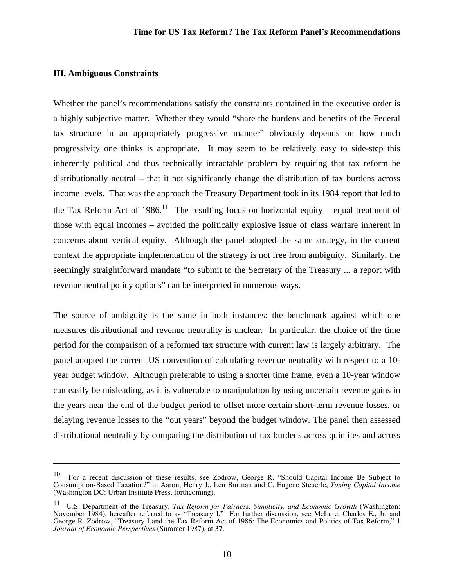# **III. Ambiguous Constraints**

 $\overline{a}$ 

Whether the panel's recommendations satisfy the constraints contained in the executive order is a highly subjective matter. Whether they would "share the burdens and benefits of the Federal tax structure in an appropriately progressive manner" obviously depends on how much progressivity one thinks is appropriate. It may seem to be relatively easy to side-step this inherently political and thus technically intractable problem by requiring that tax reform be distributionally neutral – that it not significantly change the distribution of tax burdens across income levels. That was the approach the Treasury Department took in its 1984 report that led to the Tax Reform Act of 1986.<sup>11</sup> The resulting focus on horizontal equity – equal treatment of those with equal incomes – avoided the politically explosive issue of class warfare inherent in concerns about vertical equity. Although the panel adopted the same strategy, in the current context the appropriate implementation of the strategy is not free from ambiguity. Similarly, the seemingly straightforward mandate "to submit to the Secretary of the Treasury ... a report with revenue neutral policy options" can be interpreted in numerous ways.

The source of ambiguity is the same in both instances: the benchmark against which one measures distributional and revenue neutrality is unclear. In particular, the choice of the time period for the comparison of a reformed tax structure with current law is largely arbitrary. The panel adopted the current US convention of calculating revenue neutrality with respect to a 10 year budget window. Although preferable to using a shorter time frame, even a 10-year window can easily be misleading, as it is vulnerable to manipulation by using uncertain revenue gains in the years near the end of the budget period to offset more certain short-term revenue losses, or delaying revenue losses to the "out years" beyond the budget window. The panel then assessed distributional neutrality by comparing the distribution of tax burdens across quintiles and across

<sup>10</sup> For a recent discussion of these results, see Zodrow, George R. "Should Capital Income Be Subject to Consumption-Based Taxation?" in Aaron, Henry J., Len Burman and C. Eugene Steuerle, *Taxing Capital Income* (Washington DC: Urban Institute Press, forthcoming).

<sup>11</sup> U.S. Department of the Treasury, *Tax Reform for Fairness, Simplicity, and Economic Growth* (Washington: November 1984), hereafter referred to as "Treasury I." For further discussion, see McLure, Charles E., Jr. and George R. Zodrow, "Treasury I and the Tax Reform Act of 1986: The Economics and Politics of Tax Reform," 1 *Journal of Economic Perspectives* (Summer 1987), at 37.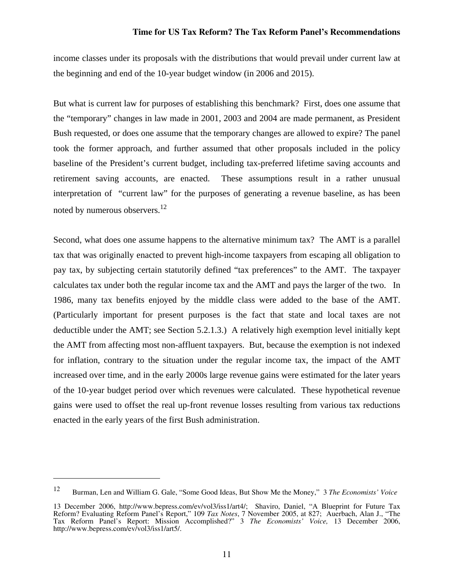income classes under its proposals with the distributions that would prevail under current law at the beginning and end of the 10-year budget window (in 2006 and 2015).

But what is current law for purposes of establishing this benchmark? First, does one assume that the "temporary" changes in law made in 2001, 2003 and 2004 are made permanent, as President Bush requested, or does one assume that the temporary changes are allowed to expire? The panel took the former approach, and further assumed that other proposals included in the policy baseline of the President's current budget, including tax-preferred lifetime saving accounts and retirement saving accounts, are enacted. These assumptions result in a rather unusual interpretation of "current law" for the purposes of generating a revenue baseline, as has been noted by numerous observers.<sup>12</sup>

Second, what does one assume happens to the alternative minimum tax? The AMT is a parallel tax that was originally enacted to prevent high-income taxpayers from escaping all obligation to pay tax, by subjecting certain statutorily defined "tax preferences" to the AMT. The taxpayer calculates tax under both the regular income tax and the AMT and pays the larger of the two. In 1986, many tax benefits enjoyed by the middle class were added to the base of the AMT. (Particularly important for present purposes is the fact that state and local taxes are not deductible under the AMT; see Section 5.2.1.3.) A relatively high exemption level initially kept the AMT from affecting most non-affluent taxpayers. But, because the exemption is not indexed for inflation, contrary to the situation under the regular income tax, the impact of the AMT increased over time, and in the early 2000s large revenue gains were estimated for the later years of the 10-year budget period over which revenues were calculated. These hypothetical revenue gains were used to offset the real up-front revenue losses resulting from various tax reductions enacted in the early years of the first Bush administration.

1

<sup>12</sup> Burman, Len and William G. Gale, "Some Good Ideas, But Show Me the Money," 3 *The Economists' Voice* 

<sup>13</sup> December 2006, http://www.bepress.com/ev/vol3/iss1/art4/; Shaviro, Daniel, "A Blueprint for Future Tax Reform? Evaluating Reform Panel's Report," 109 *Tax Notes*, 7 November 2005, at 827; Auerbach, Alan J., "The Tax Reform Panel's Report: Mission Accomplished?" 3 *The Economists' Voice,* 13 December 2006, http://www.bepress.com/ev/vol3/iss1/art5/.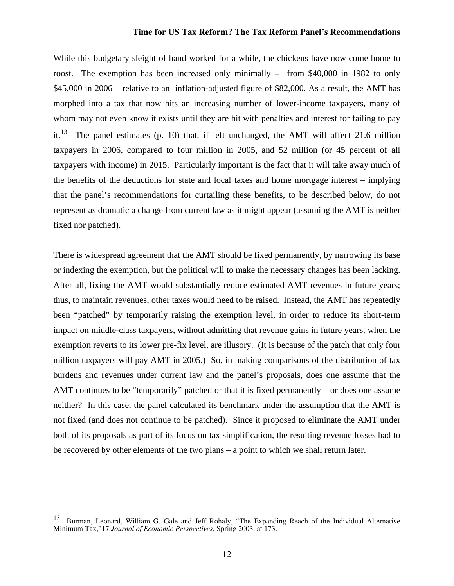While this budgetary sleight of hand worked for a while, the chickens have now come home to roost. The exemption has been increased only minimally – from \$40,000 in 1982 to only \$45,000 in 2006 – relative to an inflation-adjusted figure of \$82,000. As a result, the AMT has morphed into a tax that now hits an increasing number of lower-income taxpayers, many of whom may not even know it exists until they are hit with penalties and interest for failing to pay it.<sup>13</sup> The panel estimates (p. 10) that, if left unchanged, the AMT will affect 21.6 million taxpayers in 2006, compared to four million in 2005, and 52 million (or 45 percent of all taxpayers with income) in 2015. Particularly important is the fact that it will take away much of the benefits of the deductions for state and local taxes and home mortgage interest – implying that the panel's recommendations for curtailing these benefits, to be described below, do not represent as dramatic a change from current law as it might appear (assuming the AMT is neither fixed nor patched).

There is widespread agreement that the AMT should be fixed permanently, by narrowing its base or indexing the exemption, but the political will to make the necessary changes has been lacking. After all, fixing the AMT would substantially reduce estimated AMT revenues in future years; thus, to maintain revenues, other taxes would need to be raised. Instead, the AMT has repeatedly been "patched" by temporarily raising the exemption level, in order to reduce its short-term impact on middle-class taxpayers, without admitting that revenue gains in future years, when the exemption reverts to its lower pre-fix level, are illusory. (It is because of the patch that only four million taxpayers will pay AMT in 2005.) So, in making comparisons of the distribution of tax burdens and revenues under current law and the panel's proposals, does one assume that the AMT continues to be "temporarily" patched or that it is fixed permanently – or does one assume neither? In this case, the panel calculated its benchmark under the assumption that the AMT is not fixed (and does not continue to be patched). Since it proposed to eliminate the AMT under both of its proposals as part of its focus on tax simplification, the resulting revenue losses had to be recovered by other elements of the two plans – a point to which we shall return later.

 $\overline{a}$ 

<sup>13</sup> Burman, Leonard, William G. Gale and Jeff Rohaly, "The Expanding Reach of the Individual Alternative Minimum Tax,"17 *Journal of Economic Perspectives*, Spring 2003, at 173.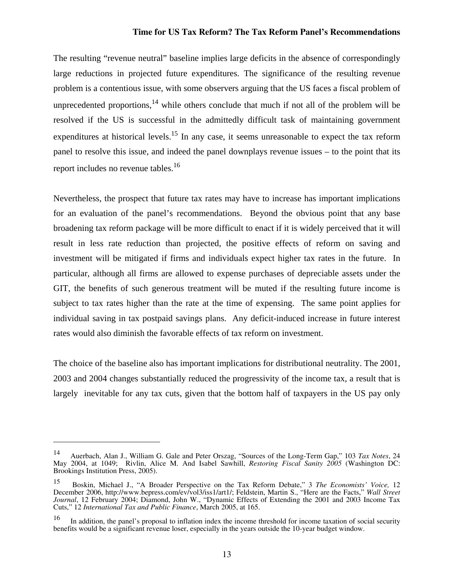The resulting "revenue neutral" baseline implies large deficits in the absence of correspondingly large reductions in projected future expenditures. The significance of the resulting revenue problem is a contentious issue, with some observers arguing that the US faces a fiscal problem of unprecedented proportions,  $14$  while others conclude that much if not all of the problem will be resolved if the US is successful in the admittedly difficult task of maintaining government expenditures at historical levels.<sup>15</sup> In any case, it seems unreasonable to expect the tax reform panel to resolve this issue, and indeed the panel downplays revenue issues – to the point that its report includes no revenue tables.<sup>16</sup>

Nevertheless, the prospect that future tax rates may have to increase has important implications for an evaluation of the panel's recommendations. Beyond the obvious point that any base broadening tax reform package will be more difficult to enact if it is widely perceived that it will result in less rate reduction than projected, the positive effects of reform on saving and investment will be mitigated if firms and individuals expect higher tax rates in the future. In particular, although all firms are allowed to expense purchases of depreciable assets under the GIT, the benefits of such generous treatment will be muted if the resulting future income is subject to tax rates higher than the rate at the time of expensing. The same point applies for individual saving in tax postpaid savings plans. Any deficit-induced increase in future interest rates would also diminish the favorable effects of tax reform on investment.

The choice of the baseline also has important implications for distributional neutrality. The 2001, 2003 and 2004 changes substantially reduced the progressivity of the income tax, a result that is largely inevitable for any tax cuts, given that the bottom half of taxpayers in the US pay only

1

<sup>14</sup> Auerbach, Alan J., William G. Gale and Peter Orszag, "Sources of the Long-Term Gap," 103 *Tax Notes*, 24 May 2004, at 1049; Rivlin, Alice M. And Isabel Sawhill, *Restoring Fiscal Sanity 2005* (Washington DC: Brookings Institution Press, 2005).

<sup>15</sup> Boskin, Michael J., "A Broader Perspective on the Tax Reform Debate," 3 *The Economists' Voice,* 12 December 2006, http://www.bepress.com/ev/vol3/iss1/art1/; Feldstein, Martin S., "Here are the Facts," *Wall Street Journal*, 12 February 2004; Diamond, John W., "Dynamic Effects of Extending the 2001 and 2003 Income Tax Cuts," 12 *International Tax and Public Finance*, March 2005, at 165.

<sup>16</sup> In addition, the panel's proposal to inflation index the income threshold for income taxation of social security benefits would be a significant revenue loser, especially in the years outside the 10-year budget window.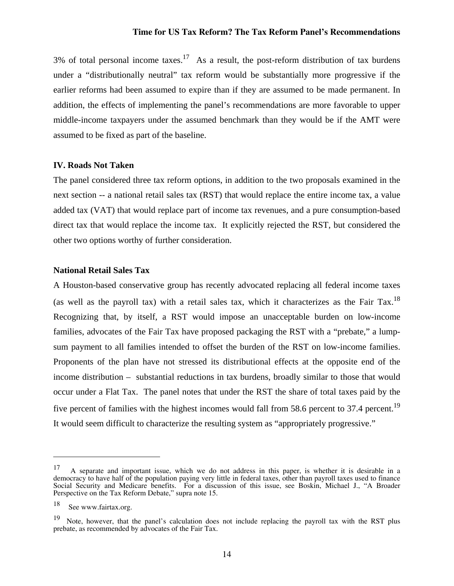3% of total personal income taxes.<sup>17</sup> As a result, the post-reform distribution of tax burdens under a "distributionally neutral" tax reform would be substantially more progressive if the earlier reforms had been assumed to expire than if they are assumed to be made permanent. In addition, the effects of implementing the panel's recommendations are more favorable to upper middle-income taxpayers under the assumed benchmark than they would be if the AMT were assumed to be fixed as part of the baseline.

#### **IV. Roads Not Taken**

The panel considered three tax reform options, in addition to the two proposals examined in the next section -- a national retail sales tax (RST) that would replace the entire income tax, a value added tax (VAT) that would replace part of income tax revenues, and a pure consumption-based direct tax that would replace the income tax. It explicitly rejected the RST, but considered the other two options worthy of further consideration.

# **National Retail Sales Tax**

A Houston-based conservative group has recently advocated replacing all federal income taxes (as well as the payroll tax) with a retail sales tax, which it characterizes as the Fair Tax.18 Recognizing that, by itself, a RST would impose an unacceptable burden on low-income families, advocates of the Fair Tax have proposed packaging the RST with a "prebate," a lumpsum payment to all families intended to offset the burden of the RST on low-income families. Proponents of the plan have not stressed its distributional effects at the opposite end of the income distribution – substantial reductions in tax burdens, broadly similar to those that would occur under a Flat Tax. The panel notes that under the RST the share of total taxes paid by the five percent of families with the highest incomes would fall from 58.6 percent to 37.4 percent.<sup>19</sup> It would seem difficult to characterize the resulting system as "appropriately progressive."

<u>.</u>

<sup>&</sup>lt;sup>17</sup> A separate and important issue, which we do not address in this paper, is whether it is desirable in a democracy to have half of the population paying very little in federal taxes, other than payroll taxes used to finance Social Security and Medicare benefits. For a discussion of this issue, see Boskin, Michael J., "A Broader Perspective on the Tax Reform Debate," supra note 15.

<sup>18</sup> See www.fairtax.org.

<sup>&</sup>lt;sup>19</sup> Note, however, that the panel's calculation does not include replacing the payroll tax with the RST plus prebate, as recommended by advocates of the Fair Tax.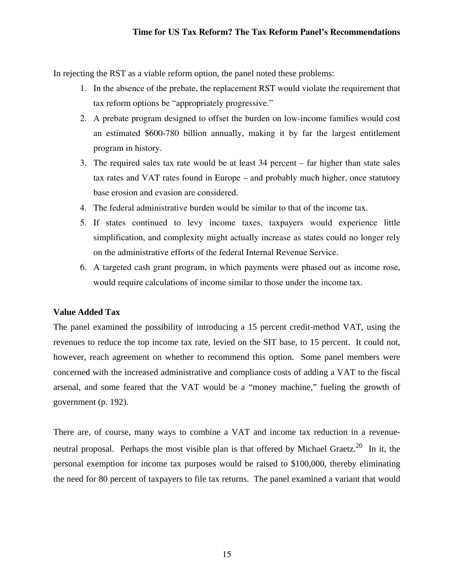In rejecting the RST as a viable reform option, the panel noted these problems:

- 1. In the absence of the prebate, the replacement RST would violate the requirement that tax reform options be "appropriately progressive."
- 2. A prebate program designed to offset the burden on low-income families would cost an estimated \$600-780 billion annually, making it by far the largest entitlement program in history.
- 3. The required sales tax rate would be at least 34 percent far higher than state sales tax rates and VAT rates found in Europe – and probably much higher, once statutory base erosion and evasion are considered.
- 4. The federal administrative burden would be similar to that of the income tax.
- 5. If states continued to levy income taxes, taxpayers would experience little simplification, and complexity might actually increase as states could no longer rely on the administrative efforts of the federal Internal Revenue Service.
- 6. A targeted cash grant program, in which payments were phased out as income rose, would require calculations of income similar to those under the income tax.

# **Value Added Tax**

The panel examined the possibility of introducing a 15 percent credit-method VAT, using the revenues to reduce the top income tax rate, levied on the SIT base, to 15 percent. It could not, however, reach agreement on whether to recommend this option. Some panel members were concerned with the increased administrative and compliance costs of adding a VAT to the fiscal arsenal, and some feared that the VAT would be a "money machine," fueling the growth of government (p. 192).

There are, of course, many ways to combine a VAT and income tax reduction in a revenueneutral proposal. Perhaps the most visible plan is that offered by Michael Graetz.<sup>20</sup> In it, the personal exemption for income tax purposes would be raised to \$100,000, thereby eliminating the need for 80 percent of taxpayers to file tax returns. The panel examined a variant that would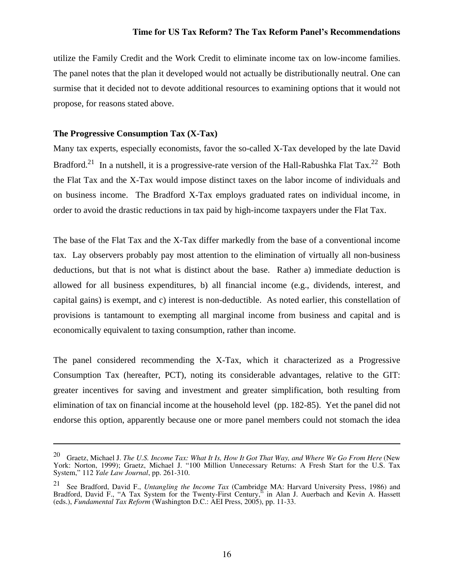utilize the Family Credit and the Work Credit to eliminate income tax on low-income families. The panel notes that the plan it developed would not actually be distributionally neutral. One can surmise that it decided not to devote additional resources to examining options that it would not propose, for reasons stated above.

# **The Progressive Consumption Tax (X-Tax)**

1

Many tax experts, especially economists, favor the so-called X-Tax developed by the late David Bradford.<sup>21</sup> In a nutshell, it is a progressive-rate version of the Hall-Rabushka Flat Tax.<sup>22</sup> Both the Flat Tax and the X-Tax would impose distinct taxes on the labor income of individuals and on business income. The Bradford X-Tax employs graduated rates on individual income, in order to avoid the drastic reductions in tax paid by high-income taxpayers under the Flat Tax.

The base of the Flat Tax and the X-Tax differ markedly from the base of a conventional income tax. Lay observers probably pay most attention to the elimination of virtually all non-business deductions, but that is not what is distinct about the base. Rather a) immediate deduction is allowed for all business expenditures, b) all financial income (e.g., dividends, interest, and capital gains) is exempt, and c) interest is non-deductible. As noted earlier, this constellation of provisions is tantamount to exempting all marginal income from business and capital and is economically equivalent to taxing consumption, rather than income.

The panel considered recommending the X-Tax, which it characterized as a Progressive Consumption Tax (hereafter, PCT), noting its considerable advantages, relative to the GIT: greater incentives for saving and investment and greater simplification, both resulting from elimination of tax on financial income at the household level (pp. 182-85). Yet the panel did not endorse this option, apparently because one or more panel members could not stomach the idea

<sup>20</sup> Graetz, Michael J. *The U.S. Income Tax: What It Is, How It Got That Way, and Where We Go From Here* (New York: Norton, 1999); Graetz, Michael J. "100 Million Unnecessary Returns: A Fresh Start for the U.S. Tax System," 112 *Yale Law Journal*, pp. 261-310.

<sup>21</sup> See Bradford, David F., *Untangling the Income Tax* (Cambridge MA: Harvard University Press, 1986) and Bradford, David F., "A Tax System for the Twenty-First Century," in Alan J. Auerbach and Kevin A. Hassett (eds.), *Fundamental Tax Reform* (Washington D.C.: AEI Press, 2005), pp. 11-33.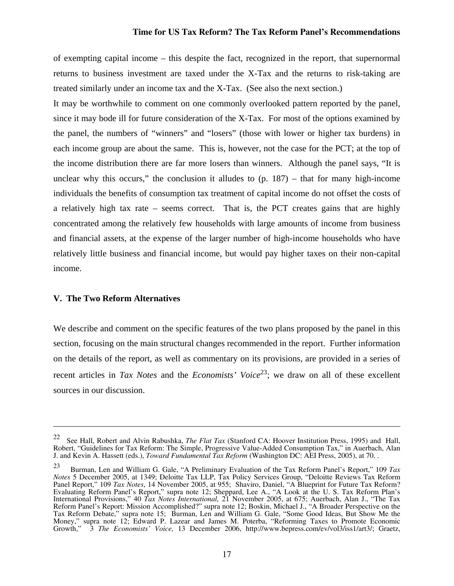of exempting capital income – this despite the fact, recognized in the report, that supernormal returns to business investment are taxed under the X-Tax and the returns to risk-taking are treated similarly under an income tax and the X-Tax. (See also the next section.)

It may be worthwhile to comment on one commonly overlooked pattern reported by the panel, since it may bode ill for future consideration of the X-Tax. For most of the options examined by the panel, the numbers of "winners" and "losers" (those with lower or higher tax burdens) in each income group are about the same. This is, however, not the case for the PCT; at the top of the income distribution there are far more losers than winners. Although the panel says, "It is unclear why this occurs," the conclusion it alludes to  $(p. 187)$  – that for many high-income individuals the benefits of consumption tax treatment of capital income do not offset the costs of a relatively high tax rate – seems correct. That is, the PCT creates gains that are highly concentrated among the relatively few households with large amounts of income from business and financial assets, at the expense of the larger number of high-income households who have relatively little business and financial income, but would pay higher taxes on their non-capital income.

#### **V. The Two Reform Alternatives**

1

We describe and comment on the specific features of the two plans proposed by the panel in this section, focusing on the main structural changes recommended in the report. Further information on the details of the report, as well as commentary on its provisions, are provided in a series of recent articles in *Tax Notes* and the *Economists' Voice*<sup>23</sup>; we draw on all of these excellent sources in our discussion.

<sup>22</sup> See Hall, Robert and Alvin Rabushka, *The Flat Tax* (Stanford CA: Hoover Institution Press, 1995) and Hall, Robert, "Guidelines for Tax Reform: The Simple, Progressive Value-Added Consumption Tax," in Auerbach, Alan J. and Kevin A. Hassett (eds.), *Toward Fundamental Tax Reform* (Washington DC: AEI Press, 2005), at 70. .

<sup>23</sup> Burman, Len and William G. Gale, "A Preliminary Evaluation of the Tax Reform Panel's Report," 109 *Tax Notes* 5 December 2005, at 1349; Deloitte Tax LLP, Tax Policy Services Group, "Deloitte Reviews Tax Reform Panel Report," 109 *Tax Notes*, 14 November 2005, at 955; Shaviro, Daniel, "A Blueprint for Future Tax Reform? Evaluating Reform Panel's Report," supra note 12; Sheppard, Lee A., "A Look at the U. S. Tax Reform Plan's International Provisions," 40 *Tax Notes International,* 21 November 2005, at 675; Auerbach, Alan J., "The Tax Reform Panel's Report: Mission Accomplished?" supra note 12; Boskin, Michael J., "A Broader Perspective on the Tax Reform Debate," supra note 15; Burman, Len and William G. Gale, "Some Good Ideas, But Show Me the Money," supra note 12; Edward P. Lazear and James M. Poterba, "Reforming Taxes to Promote Economic Growth," 3 *The Economists' Voice,* 13 December 2006, http://www.bepress.com/ev/vol3/iss1/art3/; Graetz,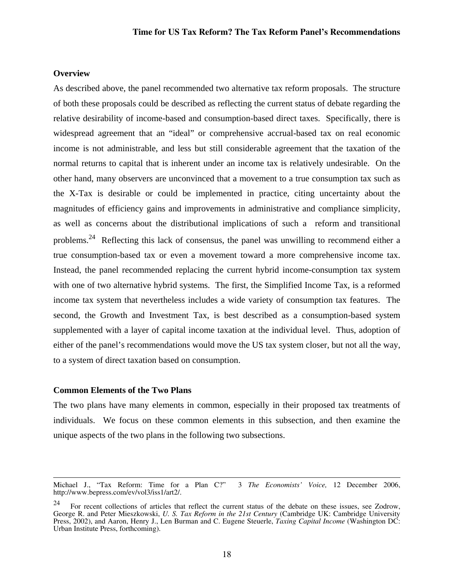#### **Overview**

As described above, the panel recommended two alternative tax reform proposals. The structure of both these proposals could be described as reflecting the current status of debate regarding the relative desirability of income-based and consumption-based direct taxes. Specifically, there is widespread agreement that an "ideal" or comprehensive accrual-based tax on real economic income is not administrable, and less but still considerable agreement that the taxation of the normal returns to capital that is inherent under an income tax is relatively undesirable. On the other hand, many observers are unconvinced that a movement to a true consumption tax such as the X-Tax is desirable or could be implemented in practice, citing uncertainty about the magnitudes of efficiency gains and improvements in administrative and compliance simplicity, as well as concerns about the distributional implications of such a reform and transitional problems.<sup>24</sup> Reflecting this lack of consensus, the panel was unwilling to recommend either a true consumption-based tax or even a movement toward a more comprehensive income tax. Instead, the panel recommended replacing the current hybrid income-consumption tax system with one of two alternative hybrid systems. The first, the Simplified Income Tax, is a reformed income tax system that nevertheless includes a wide variety of consumption tax features. The second, the Growth and Investment Tax, is best described as a consumption-based system supplemented with a layer of capital income taxation at the individual level. Thus, adoption of either of the panel's recommendations would move the US tax system closer, but not all the way, to a system of direct taxation based on consumption.

#### **Common Elements of the Two Plans**

The two plans have many elements in common, especially in their proposed tax treatments of individuals. We focus on these common elements in this subsection, and then examine the unique aspects of the two plans in the following two subsections.

Michael J., "Tax Reform: Time for a Plan C?" 3 *The Economists' Voice,* 12 December 2006, http://www.bepress.com/ev/vol3/iss1/art2/.

<sup>24</sup> For recent collections of articles that reflect the current status of the debate on these issues, see Zodrow, George R. and Peter Mieszkowski, *U. S. Tax Reform in the 21st Century* (Cambridge UK: Cambridge University Press, 2002), and Aaron, Henry J., Len Burman and C. Eugene Steuerle, *Taxing Capital Income* (Washington DC: Urban Institute Press, forthcoming).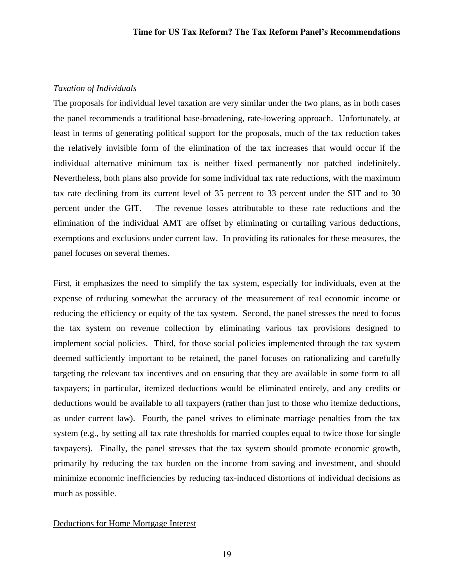#### *Taxation of Individuals*

The proposals for individual level taxation are very similar under the two plans, as in both cases the panel recommends a traditional base-broadening, rate-lowering approach. Unfortunately, at least in terms of generating political support for the proposals, much of the tax reduction takes the relatively invisible form of the elimination of the tax increases that would occur if the individual alternative minimum tax is neither fixed permanently nor patched indefinitely. Nevertheless, both plans also provide for some individual tax rate reductions, with the maximum tax rate declining from its current level of 35 percent to 33 percent under the SIT and to 30 percent under the GIT. The revenue losses attributable to these rate reductions and the elimination of the individual AMT are offset by eliminating or curtailing various deductions, exemptions and exclusions under current law. In providing its rationales for these measures, the panel focuses on several themes.

First, it emphasizes the need to simplify the tax system, especially for individuals, even at the expense of reducing somewhat the accuracy of the measurement of real economic income or reducing the efficiency or equity of the tax system. Second, the panel stresses the need to focus the tax system on revenue collection by eliminating various tax provisions designed to implement social policies. Third, for those social policies implemented through the tax system deemed sufficiently important to be retained, the panel focuses on rationalizing and carefully targeting the relevant tax incentives and on ensuring that they are available in some form to all taxpayers; in particular, itemized deductions would be eliminated entirely, and any credits or deductions would be available to all taxpayers (rather than just to those who itemize deductions, as under current law). Fourth, the panel strives to eliminate marriage penalties from the tax system (e.g., by setting all tax rate thresholds for married couples equal to twice those for single taxpayers). Finally, the panel stresses that the tax system should promote economic growth, primarily by reducing the tax burden on the income from saving and investment, and should minimize economic inefficiencies by reducing tax-induced distortions of individual decisions as much as possible.

# Deductions for Home Mortgage Interest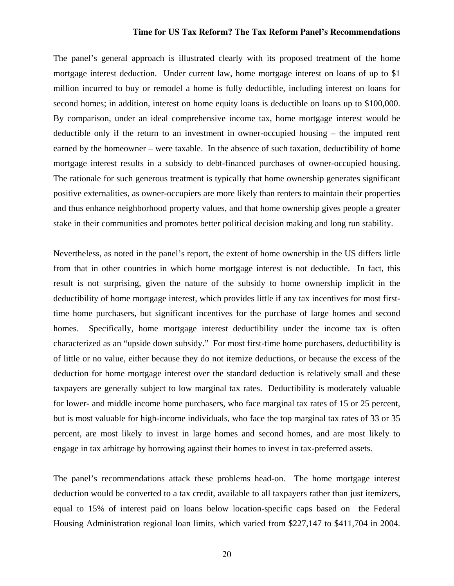The panel's general approach is illustrated clearly with its proposed treatment of the home mortgage interest deduction. Under current law, home mortgage interest on loans of up to \$1 million incurred to buy or remodel a home is fully deductible, including interest on loans for second homes; in addition, interest on home equity loans is deductible on loans up to \$100,000. By comparison, under an ideal comprehensive income tax, home mortgage interest would be deductible only if the return to an investment in owner-occupied housing – the imputed rent earned by the homeowner – were taxable. In the absence of such taxation, deductibility of home mortgage interest results in a subsidy to debt-financed purchases of owner-occupied housing. The rationale for such generous treatment is typically that home ownership generates significant positive externalities, as owner-occupiers are more likely than renters to maintain their properties and thus enhance neighborhood property values, and that home ownership gives people a greater stake in their communities and promotes better political decision making and long run stability.

Nevertheless, as noted in the panel's report, the extent of home ownership in the US differs little from that in other countries in which home mortgage interest is not deductible. In fact, this result is not surprising, given the nature of the subsidy to home ownership implicit in the deductibility of home mortgage interest, which provides little if any tax incentives for most firsttime home purchasers, but significant incentives for the purchase of large homes and second homes. Specifically, home mortgage interest deductibility under the income tax is often characterized as an "upside down subsidy." For most first-time home purchasers, deductibility is of little or no value, either because they do not itemize deductions, or because the excess of the deduction for home mortgage interest over the standard deduction is relatively small and these taxpayers are generally subject to low marginal tax rates. Deductibility is moderately valuable for lower- and middle income home purchasers, who face marginal tax rates of 15 or 25 percent, but is most valuable for high-income individuals, who face the top marginal tax rates of 33 or 35 percent, are most likely to invest in large homes and second homes, and are most likely to engage in tax arbitrage by borrowing against their homes to invest in tax-preferred assets.

The panel's recommendations attack these problems head-on. The home mortgage interest deduction would be converted to a tax credit, available to all taxpayers rather than just itemizers, equal to 15% of interest paid on loans below location-specific caps based on the Federal Housing Administration regional loan limits, which varied from \$227,147 to \$411,704 in 2004.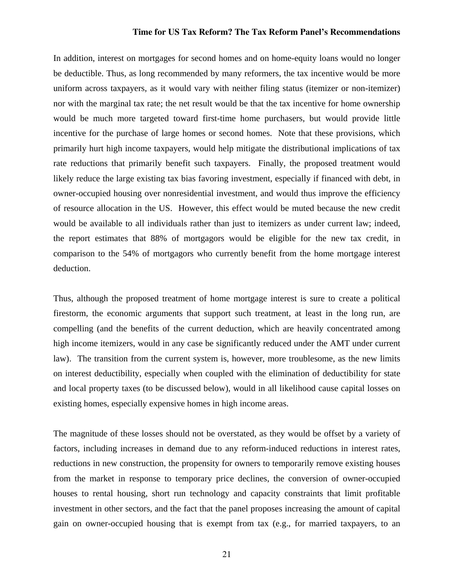In addition, interest on mortgages for second homes and on home-equity loans would no longer be deductible. Thus, as long recommended by many reformers, the tax incentive would be more uniform across taxpayers, as it would vary with neither filing status (itemizer or non-itemizer) nor with the marginal tax rate; the net result would be that the tax incentive for home ownership would be much more targeted toward first-time home purchasers, but would provide little incentive for the purchase of large homes or second homes. Note that these provisions, which primarily hurt high income taxpayers, would help mitigate the distributional implications of tax rate reductions that primarily benefit such taxpayers. Finally, the proposed treatment would likely reduce the large existing tax bias favoring investment, especially if financed with debt, in owner-occupied housing over nonresidential investment, and would thus improve the efficiency of resource allocation in the US. However, this effect would be muted because the new credit would be available to all individuals rather than just to itemizers as under current law; indeed, the report estimates that 88% of mortgagors would be eligible for the new tax credit, in comparison to the 54% of mortgagors who currently benefit from the home mortgage interest deduction.

Thus, although the proposed treatment of home mortgage interest is sure to create a political firestorm, the economic arguments that support such treatment, at least in the long run, are compelling (and the benefits of the current deduction, which are heavily concentrated among high income itemizers, would in any case be significantly reduced under the AMT under current law). The transition from the current system is, however, more troublesome, as the new limits on interest deductibility, especially when coupled with the elimination of deductibility for state and local property taxes (to be discussed below), would in all likelihood cause capital losses on existing homes, especially expensive homes in high income areas.

The magnitude of these losses should not be overstated, as they would be offset by a variety of factors, including increases in demand due to any reform-induced reductions in interest rates, reductions in new construction, the propensity for owners to temporarily remove existing houses from the market in response to temporary price declines, the conversion of owner-occupied houses to rental housing, short run technology and capacity constraints that limit profitable investment in other sectors, and the fact that the panel proposes increasing the amount of capital gain on owner-occupied housing that is exempt from tax (e.g., for married taxpayers, to an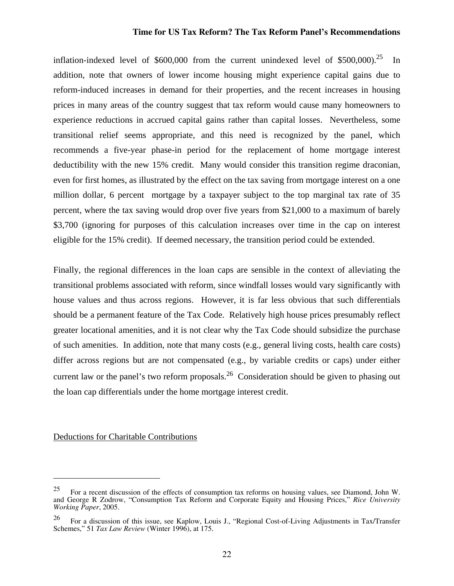inflation-indexed level of  $$600,000$  from the current unindexed level of  $$500,000$ .<sup>25</sup> In addition, note that owners of lower income housing might experience capital gains due to reform-induced increases in demand for their properties, and the recent increases in housing prices in many areas of the country suggest that tax reform would cause many homeowners to experience reductions in accrued capital gains rather than capital losses. Nevertheless, some transitional relief seems appropriate, and this need is recognized by the panel, which recommends a five-year phase-in period for the replacement of home mortgage interest deductibility with the new 15% credit. Many would consider this transition regime draconian, even for first homes, as illustrated by the effect on the tax saving from mortgage interest on a one million dollar, 6 percent mortgage by a taxpayer subject to the top marginal tax rate of 35 percent, where the tax saving would drop over five years from \$21,000 to a maximum of barely \$3,700 (ignoring for purposes of this calculation increases over time in the cap on interest eligible for the 15% credit). If deemed necessary, the transition period could be extended.

Finally, the regional differences in the loan caps are sensible in the context of alleviating the transitional problems associated with reform, since windfall losses would vary significantly with house values and thus across regions. However, it is far less obvious that such differentials should be a permanent feature of the Tax Code. Relatively high house prices presumably reflect greater locational amenities, and it is not clear why the Tax Code should subsidize the purchase of such amenities. In addition, note that many costs (e.g., general living costs, health care costs) differ across regions but are not compensated (e.g., by variable credits or caps) under either current law or the panel's two reform proposals.<sup>26</sup> Consideration should be given to phasing out the loan cap differentials under the home mortgage interest credit.

#### Deductions for Charitable Contributions

1

<sup>&</sup>lt;sup>25</sup> For a recent discussion of the effects of consumption tax reforms on housing values, see Diamond, John W. and George R Zodrow, "Consumption Tax Reform and Corporate Equity and Housing Prices," *Rice University Working Paper*, 2005.

<sup>26</sup> For a discussion of this issue, see Kaplow, Louis J., "Regional Cost-of-Living Adjustments in Tax/Transfer Schemes," 51 *Tax Law Review* (Winter 1996), at 175.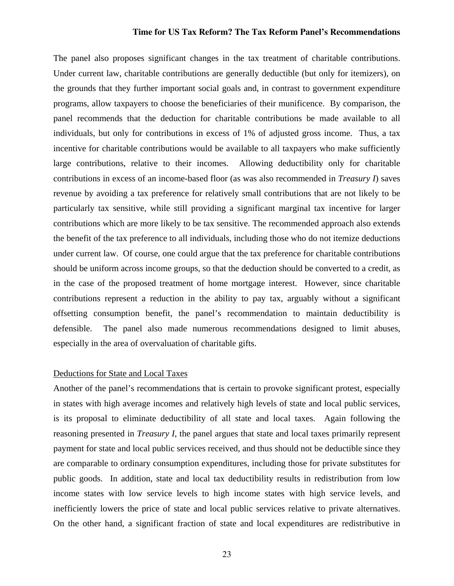The panel also proposes significant changes in the tax treatment of charitable contributions. Under current law, charitable contributions are generally deductible (but only for itemizers), on the grounds that they further important social goals and, in contrast to government expenditure programs, allow taxpayers to choose the beneficiaries of their munificence. By comparison, the panel recommends that the deduction for charitable contributions be made available to all individuals, but only for contributions in excess of 1% of adjusted gross income. Thus, a tax incentive for charitable contributions would be available to all taxpayers who make sufficiently large contributions, relative to their incomes. Allowing deductibility only for charitable contributions in excess of an income-based floor (as was also recommended in *Treasury I*) saves revenue by avoiding a tax preference for relatively small contributions that are not likely to be particularly tax sensitive, while still providing a significant marginal tax incentive for larger contributions which are more likely to be tax sensitive. The recommended approach also extends the benefit of the tax preference to all individuals, including those who do not itemize deductions under current law. Of course, one could argue that the tax preference for charitable contributions should be uniform across income groups, so that the deduction should be converted to a credit, as in the case of the proposed treatment of home mortgage interest. However, since charitable contributions represent a reduction in the ability to pay tax, arguably without a significant offsetting consumption benefit, the panel's recommendation to maintain deductibility is defensible. The panel also made numerous recommendations designed to limit abuses, especially in the area of overvaluation of charitable gifts.

#### Deductions for State and Local Taxes

Another of the panel's recommendations that is certain to provoke significant protest, especially in states with high average incomes and relatively high levels of state and local public services, is its proposal to eliminate deductibility of all state and local taxes. Again following the reasoning presented in *Treasury I*, the panel argues that state and local taxes primarily represent payment for state and local public services received, and thus should not be deductible since they are comparable to ordinary consumption expenditures, including those for private substitutes for public goods. In addition, state and local tax deductibility results in redistribution from low income states with low service levels to high income states with high service levels, and inefficiently lowers the price of state and local public services relative to private alternatives. On the other hand, a significant fraction of state and local expenditures are redistributive in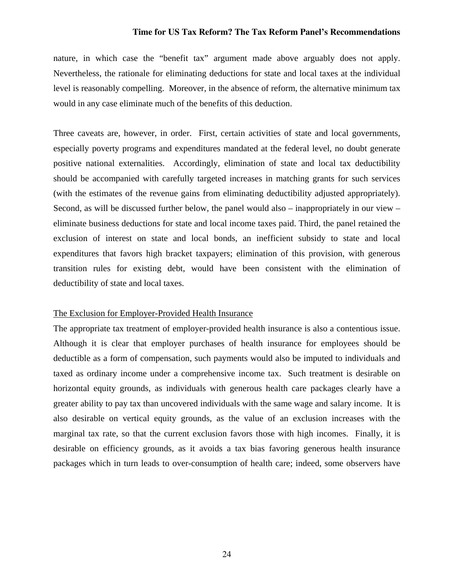nature, in which case the "benefit tax" argument made above arguably does not apply. Nevertheless, the rationale for eliminating deductions for state and local taxes at the individual level is reasonably compelling. Moreover, in the absence of reform, the alternative minimum tax would in any case eliminate much of the benefits of this deduction.

Three caveats are, however, in order. First, certain activities of state and local governments, especially poverty programs and expenditures mandated at the federal level, no doubt generate positive national externalities. Accordingly, elimination of state and local tax deductibility should be accompanied with carefully targeted increases in matching grants for such services (with the estimates of the revenue gains from eliminating deductibility adjusted appropriately). Second, as will be discussed further below, the panel would also – inappropriately in our view – eliminate business deductions for state and local income taxes paid. Third, the panel retained the exclusion of interest on state and local bonds, an inefficient subsidy to state and local expenditures that favors high bracket taxpayers; elimination of this provision, with generous transition rules for existing debt, would have been consistent with the elimination of deductibility of state and local taxes.

# The Exclusion for Employer-Provided Health Insurance

The appropriate tax treatment of employer-provided health insurance is also a contentious issue. Although it is clear that employer purchases of health insurance for employees should be deductible as a form of compensation, such payments would also be imputed to individuals and taxed as ordinary income under a comprehensive income tax. Such treatment is desirable on horizontal equity grounds, as individuals with generous health care packages clearly have a greater ability to pay tax than uncovered individuals with the same wage and salary income. It is also desirable on vertical equity grounds, as the value of an exclusion increases with the marginal tax rate, so that the current exclusion favors those with high incomes. Finally, it is desirable on efficiency grounds, as it avoids a tax bias favoring generous health insurance packages which in turn leads to over-consumption of health care; indeed, some observers have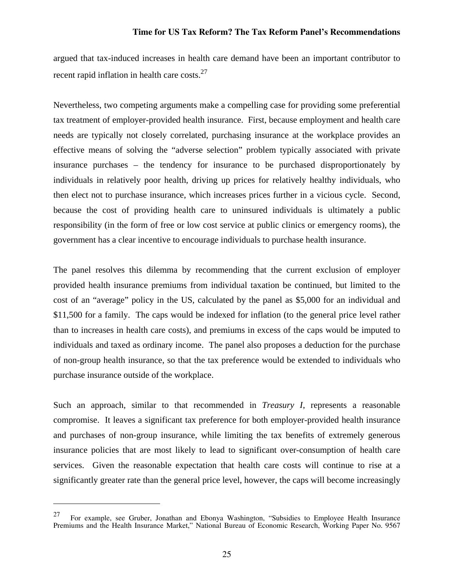argued that tax-induced increases in health care demand have been an important contributor to recent rapid inflation in health care costs.<sup>27</sup>

Nevertheless, two competing arguments make a compelling case for providing some preferential tax treatment of employer-provided health insurance. First, because employment and health care needs are typically not closely correlated, purchasing insurance at the workplace provides an effective means of solving the "adverse selection" problem typically associated with private insurance purchases – the tendency for insurance to be purchased disproportionately by individuals in relatively poor health, driving up prices for relatively healthy individuals, who then elect not to purchase insurance, which increases prices further in a vicious cycle. Second, because the cost of providing health care to uninsured individuals is ultimately a public responsibility (in the form of free or low cost service at public clinics or emergency rooms), the government has a clear incentive to encourage individuals to purchase health insurance.

The panel resolves this dilemma by recommending that the current exclusion of employer provided health insurance premiums from individual taxation be continued, but limited to the cost of an "average" policy in the US, calculated by the panel as \$5,000 for an individual and \$11,500 for a family. The caps would be indexed for inflation (to the general price level rather than to increases in health care costs), and premiums in excess of the caps would be imputed to individuals and taxed as ordinary income. The panel also proposes a deduction for the purchase of non-group health insurance, so that the tax preference would be extended to individuals who purchase insurance outside of the workplace.

Such an approach, similar to that recommended in *Treasury I*, represents a reasonable compromise. It leaves a significant tax preference for both employer-provided health insurance and purchases of non-group insurance, while limiting the tax benefits of extremely generous insurance policies that are most likely to lead to significant over-consumption of health care services. Given the reasonable expectation that health care costs will continue to rise at a significantly greater rate than the general price level, however, the caps will become increasingly

1

 $27$  For example, see Gruber, Jonathan and Ebonya Washington, "Subsidies to Employee Health Insurance Premiums and the Health Insurance Market," National Bureau of Economic Research, Working Paper No. 9567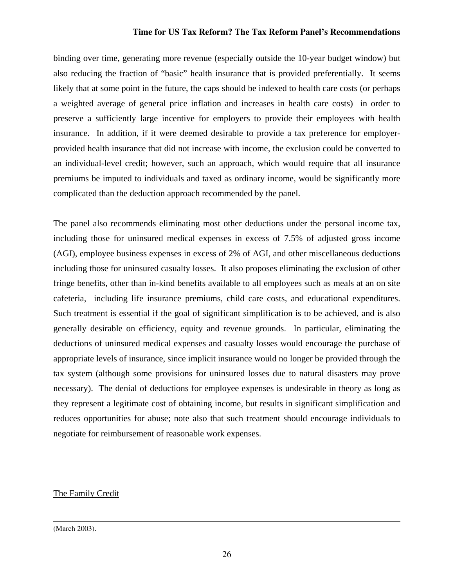binding over time, generating more revenue (especially outside the 10-year budget window) but also reducing the fraction of "basic" health insurance that is provided preferentially. It seems likely that at some point in the future, the caps should be indexed to health care costs (or perhaps a weighted average of general price inflation and increases in health care costs) in order to preserve a sufficiently large incentive for employers to provide their employees with health insurance. In addition, if it were deemed desirable to provide a tax preference for employerprovided health insurance that did not increase with income, the exclusion could be converted to an individual-level credit; however, such an approach, which would require that all insurance premiums be imputed to individuals and taxed as ordinary income, would be significantly more complicated than the deduction approach recommended by the panel.

The panel also recommends eliminating most other deductions under the personal income tax, including those for uninsured medical expenses in excess of 7.5% of adjusted gross income (AGI), employee business expenses in excess of 2% of AGI, and other miscellaneous deductions including those for uninsured casualty losses. It also proposes eliminating the exclusion of other fringe benefits, other than in-kind benefits available to all employees such as meals at an on site cafeteria, including life insurance premiums, child care costs, and educational expenditures. Such treatment is essential if the goal of significant simplification is to be achieved, and is also generally desirable on efficiency, equity and revenue grounds. In particular, eliminating the deductions of uninsured medical expenses and casualty losses would encourage the purchase of appropriate levels of insurance, since implicit insurance would no longer be provided through the tax system (although some provisions for uninsured losses due to natural disasters may prove necessary). The denial of deductions for employee expenses is undesirable in theory as long as they represent a legitimate cost of obtaining income, but results in significant simplification and reduces opportunities for abuse; note also that such treatment should encourage individuals to negotiate for reimbursement of reasonable work expenses.

# The Family Credit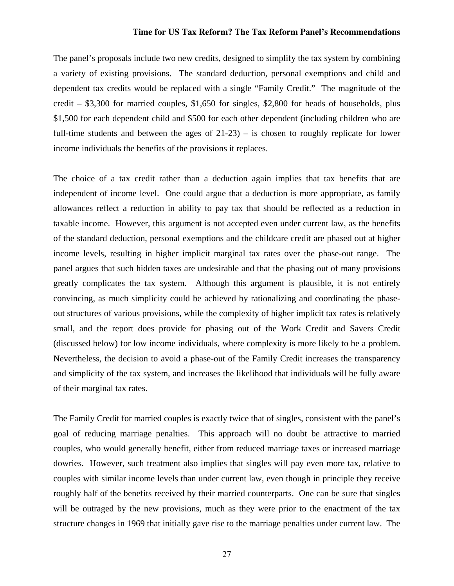The panel's proposals include two new credits, designed to simplify the tax system by combining a variety of existing provisions. The standard deduction, personal exemptions and child and dependent tax credits would be replaced with a single "Family Credit." The magnitude of the credit – \$3,300 for married couples, \$1,650 for singles, \$2,800 for heads of households, plus \$1,500 for each dependent child and \$500 for each other dependent (including children who are full-time students and between the ages of 21-23) – is chosen to roughly replicate for lower income individuals the benefits of the provisions it replaces.

The choice of a tax credit rather than a deduction again implies that tax benefits that are independent of income level. One could argue that a deduction is more appropriate, as family allowances reflect a reduction in ability to pay tax that should be reflected as a reduction in taxable income. However, this argument is not accepted even under current law, as the benefits of the standard deduction, personal exemptions and the childcare credit are phased out at higher income levels, resulting in higher implicit marginal tax rates over the phase-out range. The panel argues that such hidden taxes are undesirable and that the phasing out of many provisions greatly complicates the tax system. Although this argument is plausible, it is not entirely convincing, as much simplicity could be achieved by rationalizing and coordinating the phaseout structures of various provisions, while the complexity of higher implicit tax rates is relatively small, and the report does provide for phasing out of the Work Credit and Savers Credit (discussed below) for low income individuals, where complexity is more likely to be a problem. Nevertheless, the decision to avoid a phase-out of the Family Credit increases the transparency and simplicity of the tax system, and increases the likelihood that individuals will be fully aware of their marginal tax rates.

The Family Credit for married couples is exactly twice that of singles, consistent with the panel's goal of reducing marriage penalties. This approach will no doubt be attractive to married couples, who would generally benefit, either from reduced marriage taxes or increased marriage dowries. However, such treatment also implies that singles will pay even more tax, relative to couples with similar income levels than under current law, even though in principle they receive roughly half of the benefits received by their married counterparts. One can be sure that singles will be outraged by the new provisions, much as they were prior to the enactment of the tax structure changes in 1969 that initially gave rise to the marriage penalties under current law. The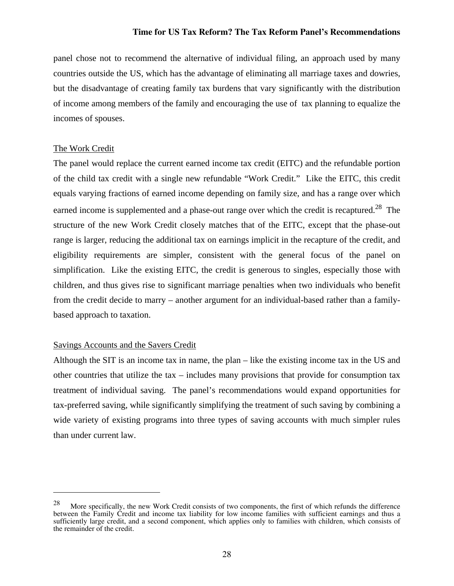panel chose not to recommend the alternative of individual filing, an approach used by many countries outside the US, which has the advantage of eliminating all marriage taxes and dowries, but the disadvantage of creating family tax burdens that vary significantly with the distribution of income among members of the family and encouraging the use of tax planning to equalize the incomes of spouses.

# The Work Credit

 $\overline{a}$ 

The panel would replace the current earned income tax credit (EITC) and the refundable portion of the child tax credit with a single new refundable "Work Credit." Like the EITC, this credit equals varying fractions of earned income depending on family size, and has a range over which earned income is supplemented and a phase-out range over which the credit is recaptured.<sup>28</sup> The structure of the new Work Credit closely matches that of the EITC, except that the phase-out range is larger, reducing the additional tax on earnings implicit in the recapture of the credit, and eligibility requirements are simpler, consistent with the general focus of the panel on simplification. Like the existing EITC, the credit is generous to singles, especially those with children, and thus gives rise to significant marriage penalties when two individuals who benefit from the credit decide to marry – another argument for an individual-based rather than a familybased approach to taxation.

# Savings Accounts and the Savers Credit

Although the SIT is an income tax in name, the plan – like the existing income tax in the US and other countries that utilize the tax – includes many provisions that provide for consumption tax treatment of individual saving. The panel's recommendations would expand opportunities for tax-preferred saving, while significantly simplifying the treatment of such saving by combining a wide variety of existing programs into three types of saving accounts with much simpler rules than under current law.

<sup>28</sup> More specifically, the new Work Credit consists of two components, the first of which refunds the difference between the Family Credit and income tax liability for low income families with sufficient earnings and thus a sufficiently large credit, and a second component, which applies only to families with children, which consists of the remainder of the credit.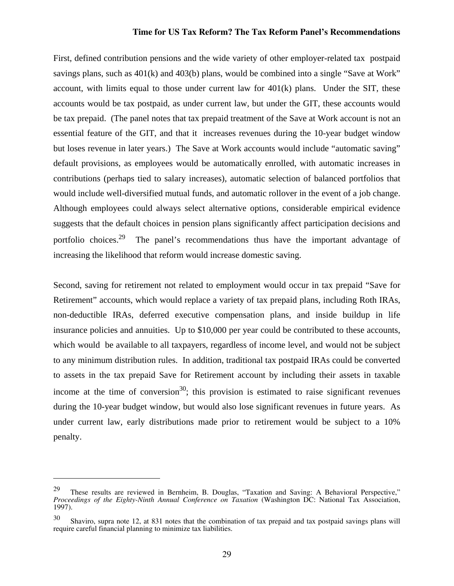First, defined contribution pensions and the wide variety of other employer-related tax postpaid savings plans, such as 401(k) and 403(b) plans, would be combined into a single "Save at Work" account, with limits equal to those under current law for  $401(k)$  plans. Under the SIT, these accounts would be tax postpaid, as under current law, but under the GIT, these accounts would be tax prepaid. (The panel notes that tax prepaid treatment of the Save at Work account is not an essential feature of the GIT, and that it increases revenues during the 10-year budget window but loses revenue in later years.) The Save at Work accounts would include "automatic saving" default provisions, as employees would be automatically enrolled, with automatic increases in contributions (perhaps tied to salary increases), automatic selection of balanced portfolios that would include well-diversified mutual funds, and automatic rollover in the event of a job change. Although employees could always select alternative options, considerable empirical evidence suggests that the default choices in pension plans significantly affect participation decisions and portfolio choices.<sup>29</sup> The panel's recommendations thus have the important advantage of increasing the likelihood that reform would increase domestic saving.

Second, saving for retirement not related to employment would occur in tax prepaid "Save for Retirement" accounts, which would replace a variety of tax prepaid plans, including Roth IRAs, non-deductible IRAs, deferred executive compensation plans, and inside buildup in life insurance policies and annuities. Up to \$10,000 per year could be contributed to these accounts, which would be available to all taxpayers, regardless of income level, and would not be subject to any minimum distribution rules. In addition, traditional tax postpaid IRAs could be converted to assets in the tax prepaid Save for Retirement account by including their assets in taxable income at the time of conversion<sup>30</sup>; this provision is estimated to raise significant revenues during the 10-year budget window, but would also lose significant revenues in future years. As under current law, early distributions made prior to retirement would be subject to a 10% penalty.

 $\overline{a}$ 

<sup>29</sup> These results are reviewed in Bernheim, B. Douglas, "Taxation and Saving: A Behavioral Perspective," *Proceedings of the Eighty-Ninth Annual Conference on Taxation* (Washington DC: National Tax Association, 1997).

<sup>30</sup> Shaviro, supra note 12, at 831 notes that the combination of tax prepaid and tax postpaid savings plans will require careful financial planning to minimize tax liabilities.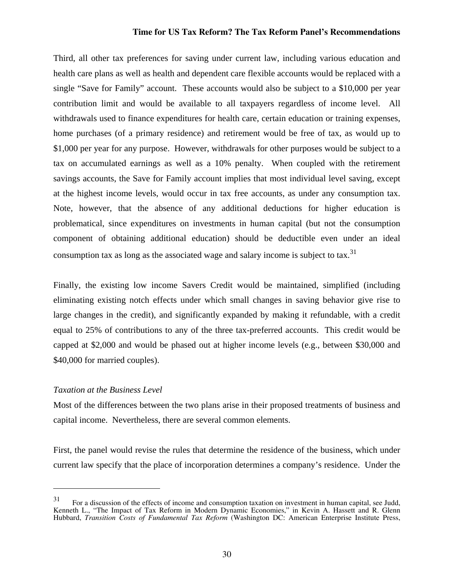Third, all other tax preferences for saving under current law, including various education and health care plans as well as health and dependent care flexible accounts would be replaced with a single "Save for Family" account. These accounts would also be subject to a \$10,000 per year contribution limit and would be available to all taxpayers regardless of income level. All withdrawals used to finance expenditures for health care, certain education or training expenses, home purchases (of a primary residence) and retirement would be free of tax, as would up to \$1,000 per year for any purpose. However, withdrawals for other purposes would be subject to a tax on accumulated earnings as well as a 10% penalty. When coupled with the retirement savings accounts, the Save for Family account implies that most individual level saving, except at the highest income levels, would occur in tax free accounts, as under any consumption tax. Note, however, that the absence of any additional deductions for higher education is problematical, since expenditures on investments in human capital (but not the consumption component of obtaining additional education) should be deductible even under an ideal consumption tax as long as the associated wage and salary income is subject to tax.<sup>31</sup>

Finally, the existing low income Savers Credit would be maintained, simplified (including eliminating existing notch effects under which small changes in saving behavior give rise to large changes in the credit), and significantly expanded by making it refundable, with a credit equal to 25% of contributions to any of the three tax-preferred accounts. This credit would be capped at \$2,000 and would be phased out at higher income levels (e.g., between \$30,000 and \$40,000 for married couples).

#### *Taxation at the Business Level*

1

Most of the differences between the two plans arise in their proposed treatments of business and capital income. Nevertheless, there are several common elements.

First, the panel would revise the rules that determine the residence of the business, which under current law specify that the place of incorporation determines a company's residence. Under the

<sup>31</sup> For a discussion of the effects of income and consumption taxation on investment in human capital, see Judd, Kenneth L., "The Impact of Tax Reform in Modern Dynamic Economies," in Kevin A. Hassett and R. Glenn Hubbard, *Transition Costs of Fundamental Tax Reform* (Washington DC: American Enterprise Institute Press,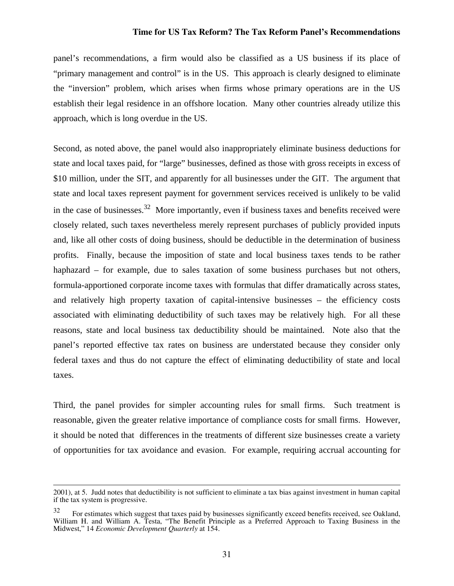panel's recommendations, a firm would also be classified as a US business if its place of "primary management and control" is in the US. This approach is clearly designed to eliminate the "inversion" problem, which arises when firms whose primary operations are in the US establish their legal residence in an offshore location. Many other countries already utilize this approach, which is long overdue in the US.

Second, as noted above, the panel would also inappropriately eliminate business deductions for state and local taxes paid, for "large" businesses, defined as those with gross receipts in excess of \$10 million, under the SIT, and apparently for all businesses under the GIT. The argument that state and local taxes represent payment for government services received is unlikely to be valid in the case of businesses.<sup>32</sup> More importantly, even if business taxes and benefits received were closely related, such taxes nevertheless merely represent purchases of publicly provided inputs and, like all other costs of doing business, should be deductible in the determination of business profits. Finally, because the imposition of state and local business taxes tends to be rather haphazard – for example, due to sales taxation of some business purchases but not others, formula-apportioned corporate income taxes with formulas that differ dramatically across states, and relatively high property taxation of capital-intensive businesses – the efficiency costs associated with eliminating deductibility of such taxes may be relatively high. For all these reasons, state and local business tax deductibility should be maintained. Note also that the panel's reported effective tax rates on business are understated because they consider only federal taxes and thus do not capture the effect of eliminating deductibility of state and local taxes.

Third, the panel provides for simpler accounting rules for small firms. Such treatment is reasonable, given the greater relative importance of compliance costs for small firms. However, it should be noted that differences in the treatments of different size businesses create a variety of opportunities for tax avoidance and evasion. For example, requiring accrual accounting for

 <sup>2001),</sup> at 5. Judd notes that deductibility is not sufficient to eliminate a tax bias against investment in human capital if the tax system is progressive.

<sup>32</sup> For estimates which suggest that taxes paid by businesses significantly exceed benefits received, see Oakland, William H. and William A. Testa, "The Benefit Principle as a Preferred Approach to Taxing Business in the Midwest," 14 *Economic Development Quarterly* at 154.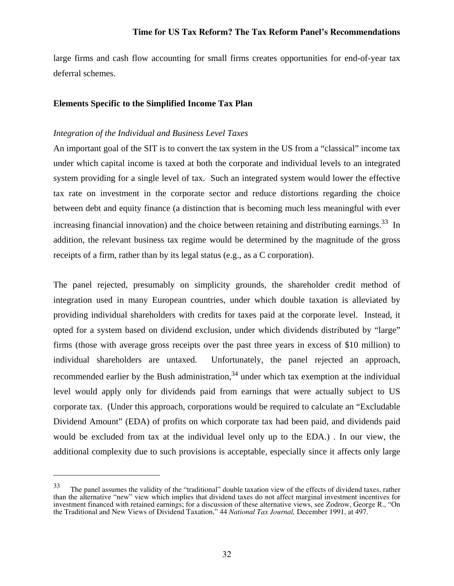large firms and cash flow accounting for small firms creates opportunities for end-of-year tax deferral schemes.

# **Elements Specific to the Simplified Income Tax Plan**

# *Integration of the Individual and Business Level Taxes*

 $\overline{a}$ 

An important goal of the SIT is to convert the tax system in the US from a "classical" income tax under which capital income is taxed at both the corporate and individual levels to an integrated system providing for a single level of tax. Such an integrated system would lower the effective tax rate on investment in the corporate sector and reduce distortions regarding the choice between debt and equity finance (a distinction that is becoming much less meaningful with ever increasing financial innovation) and the choice between retaining and distributing earnings.<sup>33</sup> In addition, the relevant business tax regime would be determined by the magnitude of the gross receipts of a firm, rather than by its legal status (e.g., as a C corporation).

The panel rejected, presumably on simplicity grounds, the shareholder credit method of integration used in many European countries, under which double taxation is alleviated by providing individual shareholders with credits for taxes paid at the corporate level. Instead, it opted for a system based on dividend exclusion, under which dividends distributed by "large" firms (those with average gross receipts over the past three years in excess of \$10 million) to individual shareholders are untaxed. Unfortunately, the panel rejected an approach, recommended earlier by the Bush administration.<sup>34</sup> under which tax exemption at the individual level would apply only for dividends paid from earnings that were actually subject to US corporate tax. (Under this approach, corporations would be required to calculate an "Excludable Dividend Amount" (EDA) of profits on which corporate tax had been paid, and dividends paid would be excluded from tax at the individual level only up to the EDA.) . In our view, the additional complexity due to such provisions is acceptable, especially since it affects only large

<sup>33</sup> The panel assumes the validity of the "traditional" double taxation view of the effects of dividend taxes, rather than the alternative "new" view which implies that dividend taxes do not affect marginal investment incentives for investment financed with retained earnings; for a discussion of these alternative views, see Zodrow, George R., "On the Traditional and New Views of Dividend Taxation," 44 *National Tax Journal,* December 1991, at 497.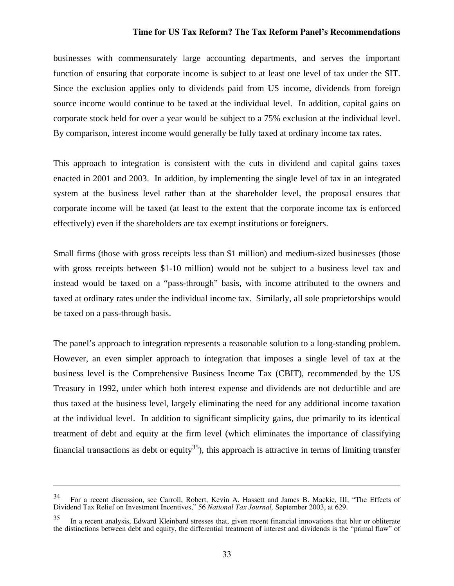businesses with commensurately large accounting departments, and serves the important function of ensuring that corporate income is subject to at least one level of tax under the SIT. Since the exclusion applies only to dividends paid from US income, dividends from foreign source income would continue to be taxed at the individual level. In addition, capital gains on corporate stock held for over a year would be subject to a 75% exclusion at the individual level. By comparison, interest income would generally be fully taxed at ordinary income tax rates.

This approach to integration is consistent with the cuts in dividend and capital gains taxes enacted in 2001 and 2003. In addition, by implementing the single level of tax in an integrated system at the business level rather than at the shareholder level, the proposal ensures that corporate income will be taxed (at least to the extent that the corporate income tax is enforced effectively) even if the shareholders are tax exempt institutions or foreigners.

Small firms (those with gross receipts less than \$1 million) and medium-sized businesses (those with gross receipts between \$1-10 million) would not be subject to a business level tax and instead would be taxed on a "pass-through" basis, with income attributed to the owners and taxed at ordinary rates under the individual income tax. Similarly, all sole proprietorships would be taxed on a pass-through basis.

The panel's approach to integration represents a reasonable solution to a long-standing problem. However, an even simpler approach to integration that imposes a single level of tax at the business level is the Comprehensive Business Income Tax (CBIT), recommended by the US Treasury in 1992, under which both interest expense and dividends are not deductible and are thus taxed at the business level, largely eliminating the need for any additional income taxation at the individual level. In addition to significant simplicity gains, due primarily to its identical treatment of debt and equity at the firm level (which eliminates the importance of classifying financial transactions as debt or equity<sup>35</sup>), this approach is attractive in terms of limiting transfer

 $\overline{a}$ 

<sup>34</sup> For a recent discussion, see Carroll, Robert, Kevin A. Hassett and James B. Mackie, III, "The Effects of Dividend Tax Relief on Investment Incentives," 56 *National Tax Journal,* September 2003, at 629.

<sup>35</sup> In a recent analysis, Edward Kleinbard stresses that, given recent financial innovations that blur or obliterate the distinctions between debt and equity, the differential treatment of interest and dividends is the "primal flaw" of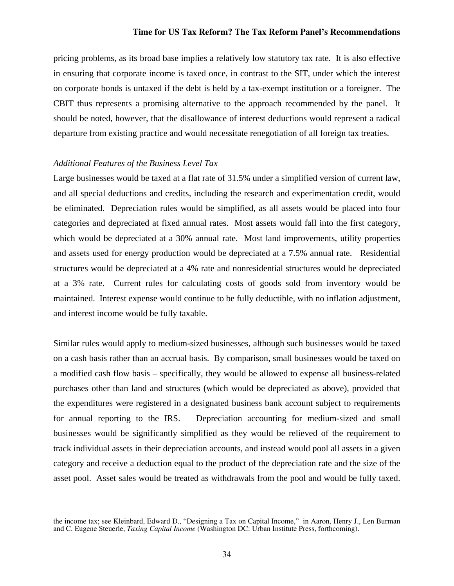pricing problems, as its broad base implies a relatively low statutory tax rate. It is also effective in ensuring that corporate income is taxed once, in contrast to the SIT, under which the interest on corporate bonds is untaxed if the debt is held by a tax-exempt institution or a foreigner. The CBIT thus represents a promising alternative to the approach recommended by the panel. It should be noted, however, that the disallowance of interest deductions would represent a radical departure from existing practice and would necessitate renegotiation of all foreign tax treaties.

# *Additional Features of the Business Level Tax*

Large businesses would be taxed at a flat rate of 31.5% under a simplified version of current law, and all special deductions and credits, including the research and experimentation credit, would be eliminated. Depreciation rules would be simplified, as all assets would be placed into four categories and depreciated at fixed annual rates. Most assets would fall into the first category, which would be depreciated at a 30% annual rate. Most land improvements, utility properties and assets used for energy production would be depreciated at a 7.5% annual rate. Residential structures would be depreciated at a 4% rate and nonresidential structures would be depreciated at a 3% rate. Current rules for calculating costs of goods sold from inventory would be maintained. Interest expense would continue to be fully deductible, with no inflation adjustment, and interest income would be fully taxable.

Similar rules would apply to medium-sized businesses, although such businesses would be taxed on a cash basis rather than an accrual basis. By comparison, small businesses would be taxed on a modified cash flow basis – specifically, they would be allowed to expense all business-related purchases other than land and structures (which would be depreciated as above), provided that the expenditures were registered in a designated business bank account subject to requirements for annual reporting to the IRS. Depreciation accounting for medium-sized and small businesses would be significantly simplified as they would be relieved of the requirement to track individual assets in their depreciation accounts, and instead would pool all assets in a given category and receive a deduction equal to the product of the depreciation rate and the size of the asset pool. Asset sales would be treated as withdrawals from the pool and would be fully taxed.

the income tax; see Kleinbard, Edward D., "Designing a Tax on Capital Income," in Aaron, Henry J., Len Burman and C. Eugene Steuerle, *Taxing Capital Income* (Washington DC: Urban Institute Press, forthcoming).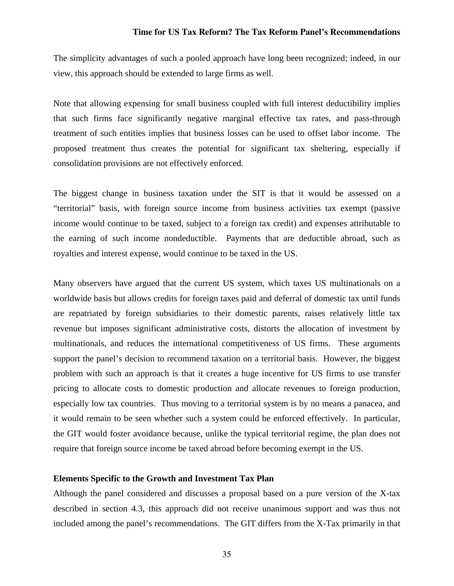The simplicity advantages of such a pooled approach have long been recognized; indeed, in our view, this approach should be extended to large firms as well.

Note that allowing expensing for small business coupled with full interest deductibility implies that such firms face significantly negative marginal effective tax rates, and pass-through treatment of such entities implies that business losses can be used to offset labor income. The proposed treatment thus creates the potential for significant tax sheltering, especially if consolidation provisions are not effectively enforced.

The biggest change in business taxation under the SIT is that it would be assessed on a "territorial" basis, with foreign source income from business activities tax exempt (passive income would continue to be taxed, subject to a foreign tax credit) and expenses attributable to the earning of such income nondeductible. Payments that are deductible abroad, such as royalties and interest expense, would continue to be taxed in the US.

Many observers have argued that the current US system, which taxes US multinationals on a worldwide basis but allows credits for foreign taxes paid and deferral of domestic tax until funds are repatriated by foreign subsidiaries to their domestic parents, raises relatively little tax revenue but imposes significant administrative costs, distorts the allocation of investment by multinationals, and reduces the international competitiveness of US firms. These arguments support the panel's decision to recommend taxation on a territorial basis. However, the biggest problem with such an approach is that it creates a huge incentive for US firms to use transfer pricing to allocate costs to domestic production and allocate revenues to foreign production, especially low tax countries. Thus moving to a territorial system is by no means a panacea, and it would remain to be seen whether such a system could be enforced effectively. In particular, the GIT would foster avoidance because, unlike the typical territorial regime, the plan does not require that foreign source income be taxed abroad before becoming exempt in the US.

#### **Elements Specific to the Growth and Investment Tax Plan**

Although the panel considered and discusses a proposal based on a pure version of the X-tax described in section 4.3, this approach did not receive unanimous support and was thus not included among the panel's recommendations. The GIT differs from the X-Tax primarily in that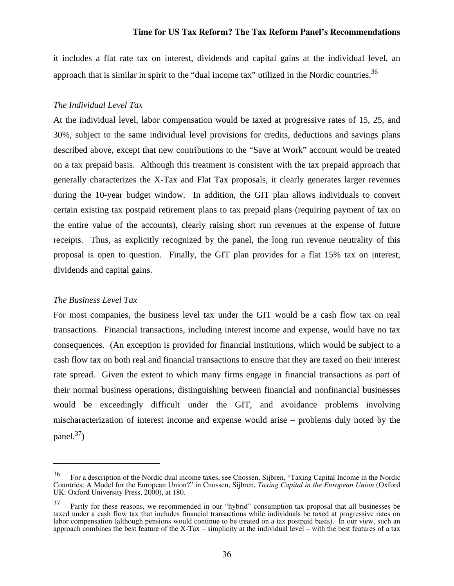it includes a flat rate tax on interest, dividends and capital gains at the individual level, an approach that is similar in spirit to the "dual income tax" utilized in the Nordic countries.  $36$ 

#### *The Individual Level Tax*

At the individual level, labor compensation would be taxed at progressive rates of 15, 25, and 30%, subject to the same individual level provisions for credits, deductions and savings plans described above, except that new contributions to the "Save at Work" account would be treated on a tax prepaid basis. Although this treatment is consistent with the tax prepaid approach that generally characterizes the X-Tax and Flat Tax proposals, it clearly generates larger revenues during the 10-year budget window. In addition, the GIT plan allows individuals to convert certain existing tax postpaid retirement plans to tax prepaid plans (requiring payment of tax on the entire value of the accounts), clearly raising short run revenues at the expense of future receipts. Thus, as explicitly recognized by the panel, the long run revenue neutrality of this proposal is open to question. Finally, the GIT plan provides for a flat 15% tax on interest, dividends and capital gains.

#### *The Business Level Tax*

 $\overline{a}$ 

For most companies, the business level tax under the GIT would be a cash flow tax on real transactions. Financial transactions, including interest income and expense, would have no tax consequences. (An exception is provided for financial institutions, which would be subject to a cash flow tax on both real and financial transactions to ensure that they are taxed on their interest rate spread. Given the extent to which many firms engage in financial transactions as part of their normal business operations, distinguishing between financial and nonfinancial businesses would be exceedingly difficult under the GIT, and avoidance problems involving mischaracterization of interest income and expense would arise – problems duly noted by the panel. $37$ )

<sup>36</sup> For a description of the Nordic dual income taxes, see Cnossen, Sijbren, "Taxing Capital Income in the Nordic Countries: A Model for the European Union?" in Cnossen, Sijbren, *Taxing Capital in the European Union* (Oxford UK: Oxford University Press, 2000), at 180.

<sup>37</sup> Partly for these reasons, we recommended in our "hybrid" consumption tax proposal that all businesses be taxed under a cash flow tax that includes financial transactions while individuals be taxed at progressive rates on labor compensation (although pensions would continue to be treated on a tax postpaid basis). In our view, such an approach combines the best feature of the X-Tax – simplicity at the individual level – with the best features of a tax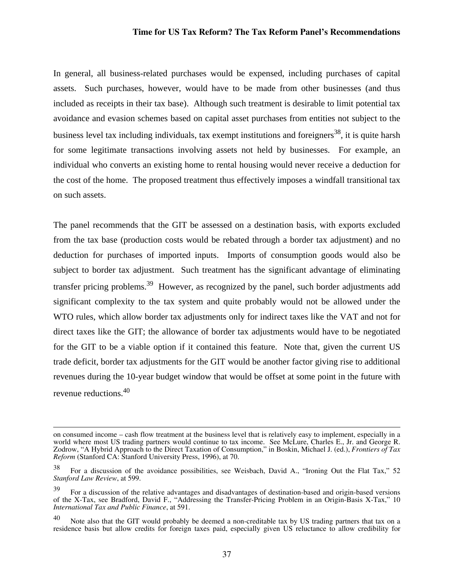In general, all business-related purchases would be expensed, including purchases of capital assets. Such purchases, however, would have to be made from other businesses (and thus included as receipts in their tax base). Although such treatment is desirable to limit potential tax avoidance and evasion schemes based on capital asset purchases from entities not subject to the business level tax including individuals, tax exempt institutions and foreigners<sup>38</sup>, it is quite harsh for some legitimate transactions involving assets not held by businesses. For example, an individual who converts an existing home to rental housing would never receive a deduction for the cost of the home. The proposed treatment thus effectively imposes a windfall transitional tax on such assets.

The panel recommends that the GIT be assessed on a destination basis, with exports excluded from the tax base (production costs would be rebated through a border tax adjustment) and no deduction for purchases of imported inputs. Imports of consumption goods would also be subject to border tax adjustment. Such treatment has the significant advantage of eliminating transfer pricing problems.<sup>39</sup> However, as recognized by the panel, such border adjustments add significant complexity to the tax system and quite probably would not be allowed under the WTO rules, which allow border tax adjustments only for indirect taxes like the VAT and not for direct taxes like the GIT; the allowance of border tax adjustments would have to be negotiated for the GIT to be a viable option if it contained this feature. Note that, given the current US trade deficit, border tax adjustments for the GIT would be another factor giving rise to additional revenues during the 10-year budget window that would be offset at some point in the future with revenue reductions.40

on consumed income – cash flow treatment at the business level that is relatively easy to implement, especially in a world where most US trading partners would continue to tax income. See McLure, Charles E., Jr. and George R. Zodrow, "A Hybrid Approach to the Direct Taxation of Consumption," in Boskin, Michael J. (ed.), *Frontiers of Tax Reform* (Stanford CA: Stanford University Press, 1996), at 70.

<sup>38</sup> For a discussion of the avoidance possibilities, see Weisbach, David A., "Ironing Out the Flat Tax," 52 *Stanford Law Review*, at 599.

<sup>39</sup> For a discussion of the relative advantages and disadvantages of destination-based and origin-based versions of the X-Tax, see Bradford, David F., "Addressing the Transfer-Pricing Problem in an Origin-Basis X-Tax," 10 *International Tax and Public Finance*, at 591.

<sup>40</sup> Note also that the GIT would probably be deemed a non-creditable tax by US trading partners that tax on a residence basis but allow credits for foreign taxes paid, especially given US reluctance to allow credibility for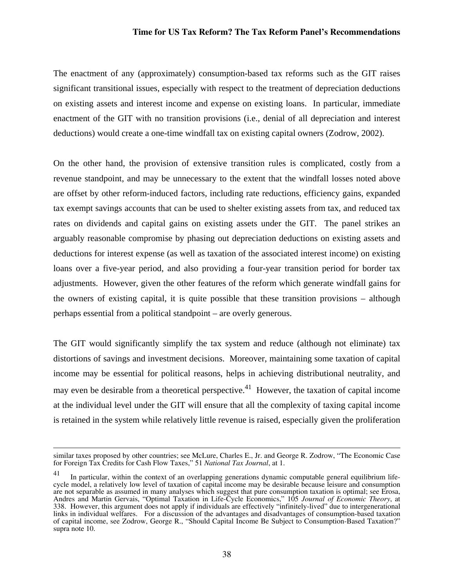The enactment of any (approximately) consumption-based tax reforms such as the GIT raises significant transitional issues, especially with respect to the treatment of depreciation deductions on existing assets and interest income and expense on existing loans. In particular, immediate enactment of the GIT with no transition provisions (i.e., denial of all depreciation and interest deductions) would create a one-time windfall tax on existing capital owners (Zodrow, 2002).

On the other hand, the provision of extensive transition rules is complicated, costly from a revenue standpoint, and may be unnecessary to the extent that the windfall losses noted above are offset by other reform-induced factors, including rate reductions, efficiency gains, expanded tax exempt savings accounts that can be used to shelter existing assets from tax, and reduced tax rates on dividends and capital gains on existing assets under the GIT. The panel strikes an arguably reasonable compromise by phasing out depreciation deductions on existing assets and deductions for interest expense (as well as taxation of the associated interest income) on existing loans over a five-year period, and also providing a four-year transition period for border tax adjustments. However, given the other features of the reform which generate windfall gains for the owners of existing capital, it is quite possible that these transition provisions – although perhaps essential from a political standpoint – are overly generous.

The GIT would significantly simplify the tax system and reduce (although not eliminate) tax distortions of savings and investment decisions. Moreover, maintaining some taxation of capital income may be essential for political reasons, helps in achieving distributional neutrality, and may even be desirable from a theoretical perspective.<sup>41</sup> However, the taxation of capital income at the individual level under the GIT will ensure that all the complexity of taxing capital income is retained in the system while relatively little revenue is raised, especially given the proliferation

similar taxes proposed by other countries; see McLure, Charles E., Jr. and George R. Zodrow, "The Economic Case for Foreign Tax Credits for Cash Flow Taxes," 51 *National Tax Journal*, at 1.

 $^{41}$  In particular, within the context of an overlapping generations dynamic computable general equilibrium lifecycle model, a relatively low level of taxation of capital income may be desirable because leisure and consumption are not separable as assumed in many analyses which suggest that pure consumption taxation is optimal; see Erosa, Andres and Martin Gervais, "Optimal Taxation in Life-Cycle Economics," 105 *Journal of Economic Theory*, at 338. However, this argument does not apply if individuals are effectively "infinitely-lived" due to intergenerational links in individual welfares. For a discussion of the advantages and disadvantages of consumption-based taxation of capital income, see Zodrow, George R., "Should Capital Income Be Subject to Consumption-Based Taxation?" supra note 10.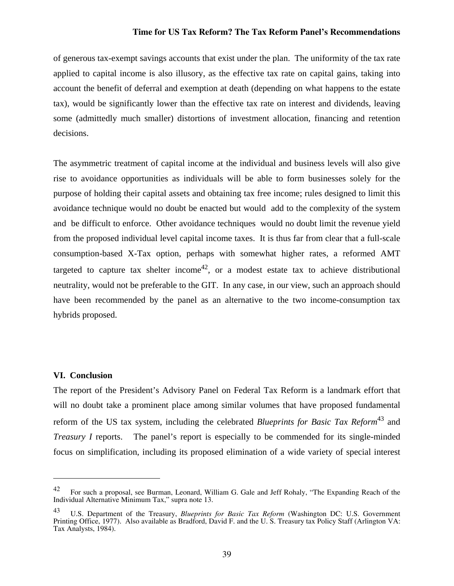of generous tax-exempt savings accounts that exist under the plan. The uniformity of the tax rate applied to capital income is also illusory, as the effective tax rate on capital gains, taking into account the benefit of deferral and exemption at death (depending on what happens to the estate tax), would be significantly lower than the effective tax rate on interest and dividends, leaving some (admittedly much smaller) distortions of investment allocation, financing and retention decisions.

The asymmetric treatment of capital income at the individual and business levels will also give rise to avoidance opportunities as individuals will be able to form businesses solely for the purpose of holding their capital assets and obtaining tax free income; rules designed to limit this avoidance technique would no doubt be enacted but would add to the complexity of the system and be difficult to enforce. Other avoidance techniques would no doubt limit the revenue yield from the proposed individual level capital income taxes. It is thus far from clear that a full-scale consumption-based X-Tax option, perhaps with somewhat higher rates, a reformed AMT targeted to capture tax shelter income<sup>42</sup>, or a modest estate tax to achieve distributional neutrality, would not be preferable to the GIT. In any case, in our view, such an approach should have been recommended by the panel as an alternative to the two income-consumption tax hybrids proposed.

#### **VI. Conclusion**

1

The report of the President's Advisory Panel on Federal Tax Reform is a landmark effort that will no doubt take a prominent place among similar volumes that have proposed fundamental reform of the US tax system, including the celebrated *Blueprints for Basic Tax Reform*<sup>43</sup> and *Treasury I* reports. The panel's report is especially to be commended for its single-minded focus on simplification, including its proposed elimination of a wide variety of special interest

<sup>&</sup>lt;sup>42</sup> For such a proposal, see Burman, Leonard, William G. Gale and Jeff Rohaly, "The Expanding Reach of the Individual Alternative Minimum Tax," supra note 13.

<sup>43</sup> U.S. Department of the Treasury, *Blueprints for Basic Tax Reform* (Washington DC: U.S. Government Printing Office, 1977). Also available as Bradford, David F. and the U. S. Treasury tax Policy Staff (Arlington VA: Tax Analysts, 1984).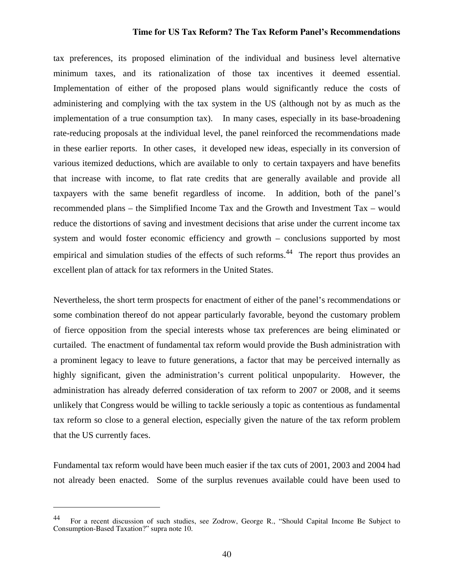tax preferences, its proposed elimination of the individual and business level alternative minimum taxes, and its rationalization of those tax incentives it deemed essential. Implementation of either of the proposed plans would significantly reduce the costs of administering and complying with the tax system in the US (although not by as much as the implementation of a true consumption tax). In many cases, especially in its base-broadening rate-reducing proposals at the individual level, the panel reinforced the recommendations made in these earlier reports. In other cases, it developed new ideas, especially in its conversion of various itemized deductions, which are available to only to certain taxpayers and have benefits that increase with income, to flat rate credits that are generally available and provide all taxpayers with the same benefit regardless of income. In addition, both of the panel's recommended plans – the Simplified Income Tax and the Growth and Investment Tax – would reduce the distortions of saving and investment decisions that arise under the current income tax system and would foster economic efficiency and growth – conclusions supported by most empirical and simulation studies of the effects of such reforms.<sup>44</sup> The report thus provides an excellent plan of attack for tax reformers in the United States.

Nevertheless, the short term prospects for enactment of either of the panel's recommendations or some combination thereof do not appear particularly favorable, beyond the customary problem of fierce opposition from the special interests whose tax preferences are being eliminated or curtailed. The enactment of fundamental tax reform would provide the Bush administration with a prominent legacy to leave to future generations, a factor that may be perceived internally as highly significant, given the administration's current political unpopularity. However, the administration has already deferred consideration of tax reform to 2007 or 2008, and it seems unlikely that Congress would be willing to tackle seriously a topic as contentious as fundamental tax reform so close to a general election, especially given the nature of the tax reform problem that the US currently faces.

Fundamental tax reform would have been much easier if the tax cuts of 2001, 2003 and 2004 had not already been enacted. Some of the surplus revenues available could have been used to

 $\overline{a}$ 

<sup>44</sup> For a recent discussion of such studies, see Zodrow, George R., "Should Capital Income Be Subject to Consumption-Based Taxation?" supra note 10.